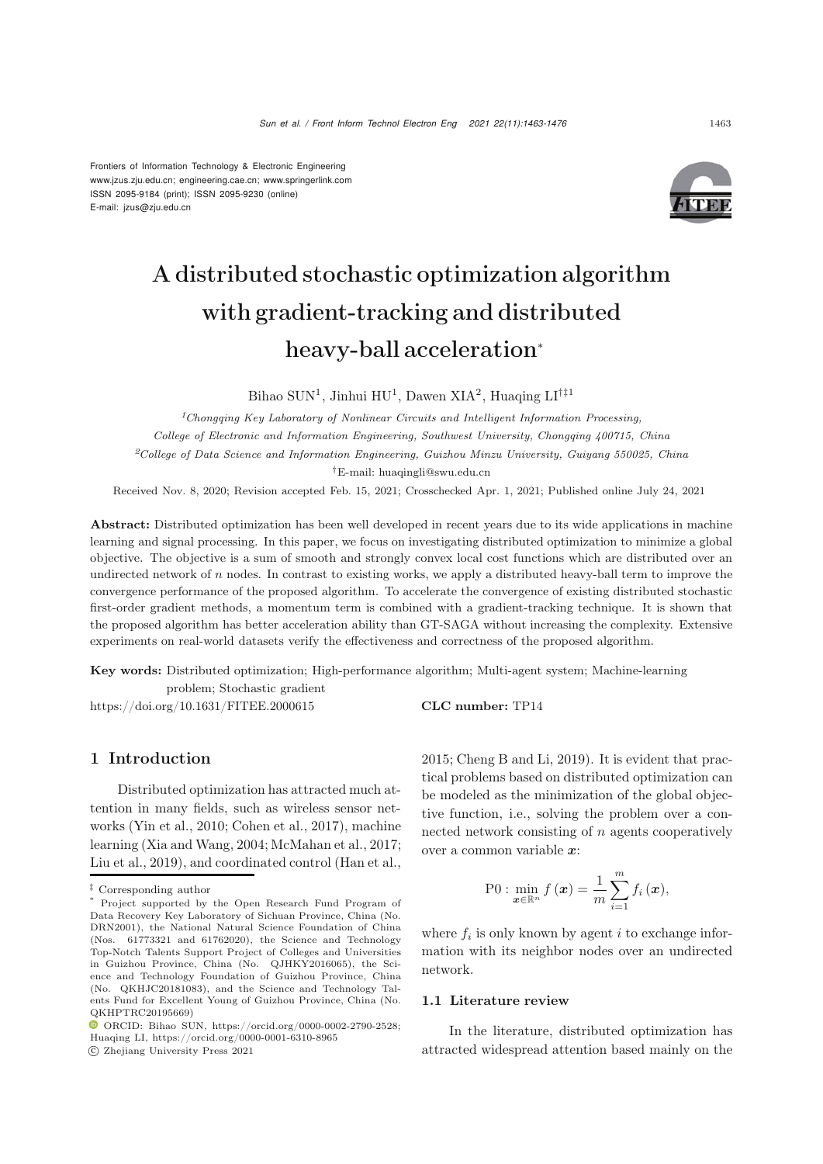Frontiers of Information Technology & Electronic Engineering [www.jzus.zju.edu.cn;](www.jzus.zju.edu.cn) [engineering.cae.cn;](engineering.cae.cn)<www.springerlink.com> ISSN 2095-9184 (print); ISSN 2095-9230 (online) E-mail: jzus@zju.edu.cn



# A distributed stochastic optimization algorithm with gradient-tracking and distributed heavy-ball acceleration<sup>∗</sup>

Bihao SUN<sup>1</sup>, Jinhui HU<sup>1</sup>, Dawen XIA<sup>2</sup>, Huaqing LI<sup>†‡1</sup>

*<sup>1</sup>Chongqing Key Laboratory of Nonlinear Circuits and Intelligent Information Processing, College of Electronic and Information Engineering, Southwest University, Chongqing 400715, China <sup>2</sup>College of Data Science and Information Engineering, Guizhou Minzu University, Guiyang 550025, China †*E-mail: huaqingli@swu.edu.cn

Received Nov. 8, 2020; Revision accepted Feb. 15, 2021; Crosschecked Apr. 1, 2021; Published online July 24, 2021

Abstract: Distributed optimization has been well developed in recent years due to its wide applications in machine learning and signal processing. In this paper, we focus on investigating distributed optimization to minimize a global objective. The objective is a sum of smooth and strongly convex local cost functions which are distributed over an undirected network of *n* nodes. In contrast to existing works, we apply a distributed heavy-ball term to improve the convergence performance of the proposed algorithm. To accelerate the convergence of existing distributed stochastic first-order gradient methods, a momentum term is combined with a gradient-tracking technique. It is shown that the proposed algorithm has better acceleration ability than GT-SAGA without increasing the complexity. Extensive experiments on real-world datasets verify the effectiveness and correctness of the proposed algorithm.

Key words: Distributed optimization; High-performance algorithm; Multi-agent system; Machine-learning problem; Stochastic gradient

https://doi.org/10.1631/FITEE.2000615 CLC number: TP14

# 1 Introduction

Distributed optimization has attracted much attention in many fields, such as wireless sensor networks [\(Yin et al., 2010](#page-13-0); [Cohen et al., 2017](#page-12-0)), machine learning [\(Xia and Wang](#page-13-1), [2004](#page-13-1); [McMahan et al., 2017;](#page-13-2) [Liu et al.](#page-12-1), [2019\)](#page-12-1), and coordinated control [\(Han et al.](#page-12-2),

c Zhejiang University Press 2021

[2015](#page-12-2); [Cheng B and Li, 2019](#page-12-3)). It is evident that practical problems based on distributed optimization can be modeled as the minimization of the global objective function, i.e., solving the problem over a connected network consisting of n agents cooperatively over a common variable *x*:

$$
\text{P0}: \min_{\boldsymbol{x}\in\mathbb{R}^n} f(\boldsymbol{x}) = \frac{1}{m}\sum_{i=1}^m f_i(\boldsymbol{x}),
$$

where  $f_i$  is only known by agent i to exchange information with its neighbor nodes over an undirected network.

#### 1.1 Literature review

In the literature, distributed optimization has attracted widespread attention based mainly on the

*<sup>‡</sup>* Corresponding author

Project supported by the Open Research Fund Program of Data Recovery Key Laboratory of Sichuan Province, China (No. DRN2001), the National Natural Science Foundation of China (Nos. 61773321 and 61762020), the Science and Technology Top-Notch Talents Support Project of Colleges and Universities in Guizhou Province, China (No. QJHKY2016065), the Science and Technology Foundation of Guizhou Province, China (No. QKHJC20181083), and the Science and Technology Talents Fund for Excellent Young of Guizhou Province, China (No. QKHPTRC20195669)

ORCID: Bihao SUN, https://orcid.org/0000-0002-2790-2528; Huaqing LI, https://orcid.org/0000-0001-6310-8965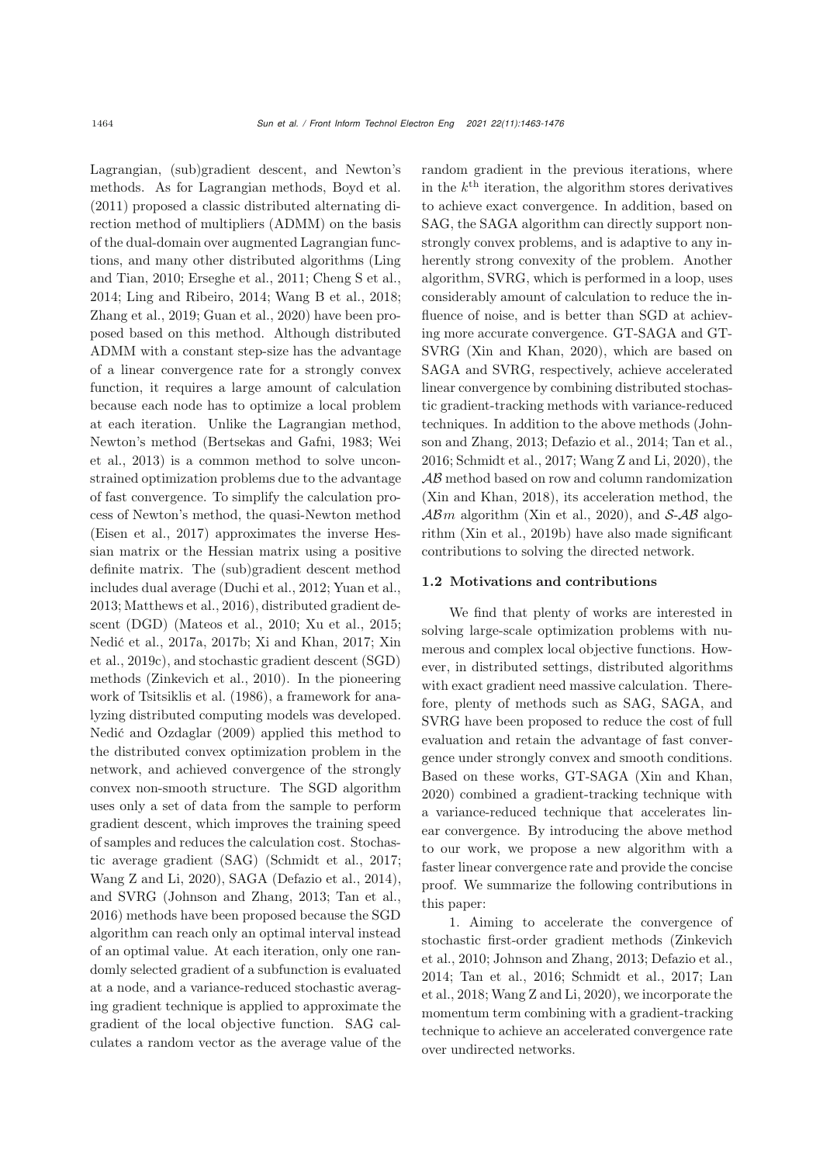Lagrangian, (sub)gradient descent, and Newton's methods. As for Lagrangian methods, [Boyd et al.](#page-12-4) [\(2011](#page-12-4)) proposed a classic distributed alternating direction method of multipliers (ADMM) on the basis of the dual-domain over augmented Lagrangian functions, an[d](#page-12-5) [many](#page-12-5) [other](#page-12-5) [distributed](#page-12-5) [algorithms](#page-12-5) [\(](#page-12-5)Ling and Tian, [2010;](#page-12-5) [Erseghe et al., 2011;](#page-12-6) [Cheng S et al.](#page-12-7), [2014](#page-12-7); [Ling and Ribeiro](#page-12-8), [2014](#page-12-8); [Wang B et al.](#page-13-3), [2018;](#page-13-3) [Zhang et al., 2019](#page-13-4); [Guan et al.](#page-12-9), [2020\)](#page-12-9) have been proposed based on this method. Although distributed ADMM with a constant step-size has the advantage of a linear convergence rate for a strongly convex function, it requires a large amount of calculation because each node has to optimize a local problem at each iteration. Unlike the Lagrangian method, New[ton's](#page-13-5) [method](#page-13-5) [\(Bertsekas and Gafni](#page-12-10)[,](#page-13-5) [1983](#page-12-10)[;](#page-13-5) Wei et al., [2013\)](#page-13-5) is a common method to solve unconstrained optimization problems due to the advantage of fast convergence. To simplify the calculation process of Newton's method, the quasi-Newton method [\(Eisen et al.](#page-12-11), [2017\)](#page-12-11) approximates the inverse Hessian matrix or the Hessian matrix using a positive definite matrix. The (sub)gradient descent method includes dual average [\(Duchi et al.](#page-12-12), [2012](#page-12-12); [Yuan et al.](#page-13-6), [2013](#page-13-6); [Matthews et al., 2016\)](#page-13-7), distributed gradient descent (DGD) (Mateos et al., 2010; Xu et al., 2015; Nedić et al., 2017a, 2017b; Xi and Khan, 2017; Xin et al., 2019c), and stochastic gradient descent (SGD) methods [\(Zinkevich et al., 2010](#page-13-8)). In the pioneering work of [Tsitsiklis et al.](#page-13-9) [\(1986](#page-13-9)), a framework for analyzing distributed computing models was developed. [Nedić and Ozdaglar](#page-13-10) [\(2009](#page-13-10)) applied this method to the distributed convex optimization problem in the network, and achieved convergence of the strongly convex non-smooth structure. The SGD algorithm uses only a set of data from the sample to perform gradient descent, which improves the training speed of samples and reduces the calculation cost. Stochastic average gradient (SAG) [\(Schmidt et al., 2017;](#page-13-11) [Wang Z and Li](#page-13-12), [2020](#page-13-12)), SAGA [\(Defazio et al., 2014\)](#page-12-13), and SVRG [\(Johnson and Zhang](#page-12-14), [2013](#page-12-14); [Tan et al.](#page-13-13), [2016](#page-13-13)) methods have been proposed because the SGD algorithm can reach only an optimal interval instead of an optimal value. At each iteration, only one randomly selected gradient of a subfunction is evaluated at a node, and a variance-reduced stochastic averaging gradient technique is applied to approximate the gradient of the local objective function. SAG calculates a random vector as the average value of the random gradient in the previous iterations, where in the  $k^{\text{th}}$  iteration, the algorithm stores derivatives to achieve exact convergence. In addition, based on SAG, the SAGA algorithm can directly support nonstrongly convex problems, and is adaptive to any inherently strong convexity of the problem. Another algorithm, SVRG, which is performed in a loop, uses considerably amount of calculation to reduce the influence of noise, and is better than SGD at achieving more accurate convergence. GT-SAGA and GT-SVRG [\(Xin and Khan](#page-13-14), [2020\)](#page-13-14), which are based on SAGA and SVRG, respectively, achieve accelerated linear convergence by combining distributed stochastic gradient-tracking methods with variance-reduced techniques. In [addition](#page-12-14) [to](#page-12-14) [the](#page-12-14) [above](#page-12-14) [methods](#page-12-14) [\(](#page-12-14)Johnson and Zhang, [2013;](#page-12-14) [Defazio et al.](#page-12-13), [2014;](#page-12-13) [Tan et al.](#page-13-13), [2016](#page-13-13); [Schmidt et al.](#page-13-11), [2017](#page-13-11); [Wang Z and Li](#page-13-12), [2020](#page-13-12)), the AB method based on row and column randomization [\(Xin and Khan, 2018\)](#page-13-15), its acceleration method, the  $\mathcal{AB}m$  algorithm [\(Xin et al., 2020](#page-13-16)), and S-AB algorithm [\(Xin et al., 2019b\)](#page-13-17) have also made significant contributions to solving the directed network.

#### 1.2 Motivations and contributions

We find that plenty of works are interested in solving large-scale optimization problems with numerous and complex local objective functions. However, in distributed settings, distributed algorithms with exact gradient need massive calculation. Therefore, plenty of methods such as SAG, SAGA, and SVRG have been proposed to reduce the cost of full evaluation and retain the advantage of fast convergence under strongly convex and smooth conditions. Based on these works, GT-SAGA [\(Xin and Khan](#page-13-14), [2020](#page-13-14)) combined a gradient-tracking technique with a variance-reduced technique that accelerates linear convergence. By introducing the above method to our work, we propose a new algorithm with a faster linear convergence rate and provide the concise proof. We summarize the following contributions in this paper:

1. Aiming to accelerate the convergence of stoc[hastic](#page-13-8) [first-order](#page-13-8) [gradient](#page-13-8) [methods](#page-13-8) [\(](#page-13-8)Zinkevich et al., [2010;](#page-13-8) [Johnson and Zhang, 2013](#page-12-14); [Defazio et al.](#page-12-13), [2014](#page-12-13)[;](#page-12-15) [Tan et al.](#page-13-13)[,](#page-12-15) [2016](#page-13-13)[;](#page-12-15) [Schmidt et al.](#page-13-11)[,](#page-12-15) [2017](#page-13-11)[;](#page-12-15) Lan et al., [2018;](#page-12-15) [Wang Z and Li, 2020\)](#page-13-12), we incorporate the momentum term combining with a gradient-tracking technique to achieve an accelerated convergence rate over undirected networks.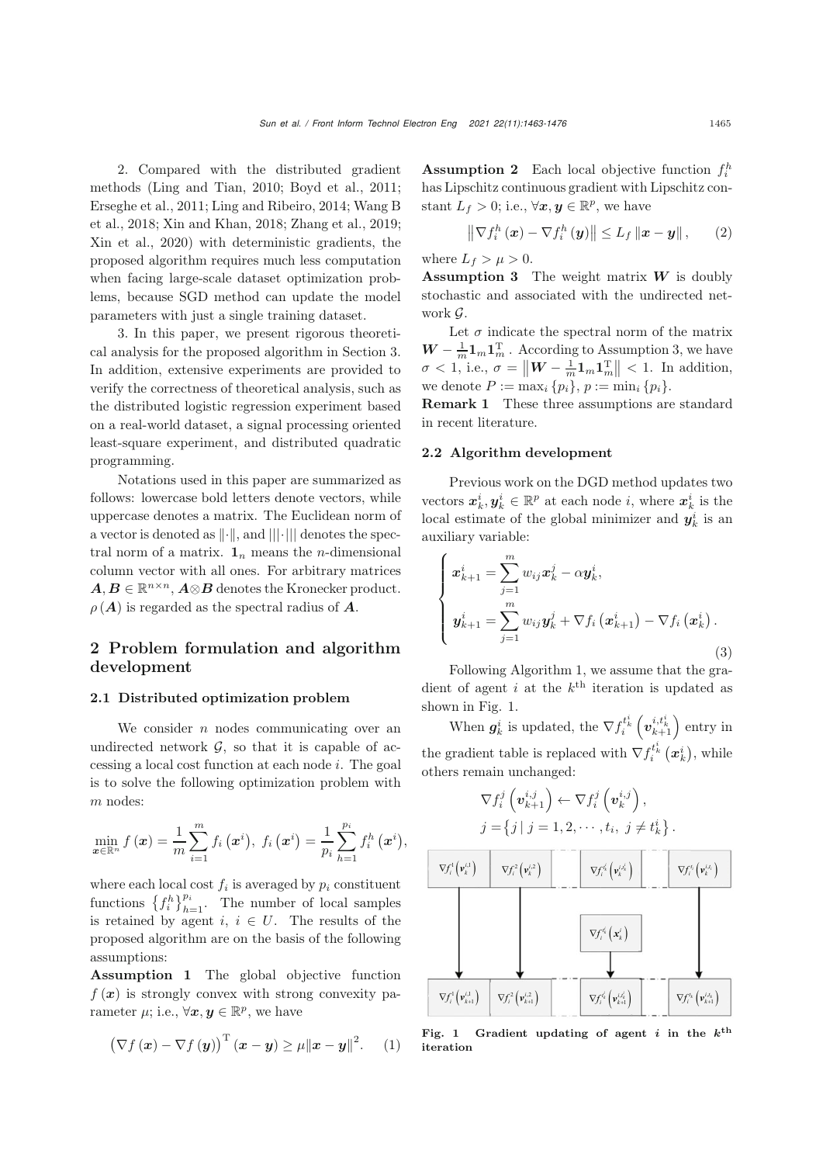2. Compared with the distributed gradient methods [\(Ling and Tian](#page-12-5), [2010;](#page-12-5) [Boyd et al.](#page-12-4), [2011;](#page-12-4) [Erseghe et al.](#page-12-6)[,](#page-13-3) [2011](#page-12-6)[;](#page-13-3) [Ling and Ribeiro, 2014](#page-12-8)[;](#page-13-3) Wang B et al., [2018;](#page-13-3) [Xin and Khan](#page-13-15), [2018;](#page-13-15) [Zhang et al., 2019;](#page-13-4) [Xin et al., 2020](#page-13-16)) with deterministic gradients, the proposed algorithm requires much less computation when facing large-scale dataset optimization problems, because SGD method can update the model parameters with just a single training dataset.

3. In this paper, we present rigorous theoretical analysis for the proposed algorithm in Section 3. In addition, extensive experiments are provided to verify the correctness of theoretical analysis, such as the distributed logistic regression experiment based on a real-world dataset, a signal processing oriented least-square experiment, and distributed quadratic programming.

Notations used in this paper are summarized as follows: lowercase bold letters denote vectors, while uppercase denotes a matrix. The Euclidean norm of a vector is denoted as  $\lVert \cdot \rVert$ , and  $\lVert \lVert \cdot \rVert$  denotes the spectral norm of a matrix.  $\mathbf{1}_n$  means the *n*-dimensional column vector with all ones. For arbitrary matrices  $A, B \in \mathbb{R}^{n \times n}, A \otimes B$  denotes the Kronecker product.  $\rho(A)$  is regarded as the spectral radius of  $\overline{A}$ .

# 2 Problem formulation and algorithm development

#### 2.1 Distributed optimization problem

We consider  $n$  nodes communicating over an undirected network  $\mathcal{G}$ , so that it is capable of accessing a local cost function at each node i. The goal is to solve the following optimization problem with m nodes:

$$
\min_{\bm{x}\in\mathbb{R}^n} f(\bm{x}) = \frac{1}{m} \sum_{i=1}^m f_i(\bm{x}^i), \ f_i(\bm{x}^i) = \frac{1}{p_i} \sum_{h=1}^{p_i} f_i^h(\bm{x}^i),
$$

where each local cost  $f_i$  is averaged by  $p_i$  constituent functions  $\{f_i^h\}_{h=1}^{p_i}$ . The number of local samples is retained by agent  $i, i \in U$ . The results of the proposed algorithm are on the basis of the following assumptions:

<span id="page-2-2"></span>Assumption 1 The global objective function  $f(x)$  is strongly convex with strong convexity parameter  $\mu$ ; i.e.,  $\forall x, y \in \mathbb{R}^p$ , we have

$$
\left(\nabla f\left(\boldsymbol{x}\right)-\nabla f\left(\boldsymbol{y}\right)\right)^{\mathrm{T}}\left(\boldsymbol{x}-\boldsymbol{y}\right)\geq \mu\|\boldsymbol{x}-\boldsymbol{y}\|^{2}.\hspace{0.5cm}(1)
$$

<span id="page-2-1"></span>**Assumption 2** Each local objective function  $f_i^h$ has Lipschitz continuous gradient with Lipschitz constant  $L_f > 0$ ; i.e.,  $\forall x, y \in \mathbb{R}^p$ , we have

$$
\left\|\nabla f_i^h\left(\boldsymbol{x}\right)-\nabla f_i^h\left(\boldsymbol{y}\right)\right\| \leq L_f \left\|\boldsymbol{x}-\boldsymbol{y}\right\|,\qquad(2)
$$

where  $L_f > \mu > 0$ .

<span id="page-2-0"></span>Assumption 3 The weight matrix *W* is doubly stochastic and associated with the undirected network  $\mathcal G$ 

Let  $\sigma$  indicate the spectral norm of the matrix  $W - \frac{1}{m} \mathbf{1}_m \mathbf{1}_m^{\mathrm{T}}$ . According to Assumption 3, we have  $\sigma < 1$ , i.e.,  $\sigma = \|W - \frac{1}{m} \mathbf{1}_m \mathbf{1}_m^T\| < 1$ . In addition, we denote  $P := \max_i \{p_i\}, p := \min_i \{p_i\}.$ 

Remark 1 These three assumptions are standard in recent literature.

## 2.2 Algorithm development

Previous work on the DGD method updates two vectors  $\boldsymbol{x}_k^i, \boldsymbol{y}_k^i \in \mathbb{R}^p$  at each node *i*, where  $\boldsymbol{x}_k^i$  is the local estimate of the global minimizer and  $y_k^i$  is an auxiliary variable:

$$
\begin{cases}\n\boldsymbol{x}_{k+1}^{i} = \sum_{j=1}^{m} w_{ij} \boldsymbol{x}_{k}^{j} - \alpha \boldsymbol{y}_{k}^{i}, \\
\boldsymbol{y}_{k+1}^{i} = \sum_{j=1}^{m} w_{ij} \boldsymbol{y}_{k}^{j} + \nabla f_{i} (\boldsymbol{x}_{k+1}^{i}) - \nabla f_{i} (\boldsymbol{x}_{k}^{i}).\n\end{cases}
$$
\n(3)

Following Algorithm 1, we assume that the gradient of agent i at the  $k^{\text{th}}$  iteration is updated as shown in Fig. 1.

When  $g_k^i$  is updated, the  $\nabla f_i^{t_k^i} \left(\boldsymbol{v}_{k+1}^{i,t_k^i}\right)$  entry in the gradient table is replaced with  $\nabla f_i^{t_k^i}(\boldsymbol{x}_k^i)$ , while others remain unchanged:

$$
\nabla f_i^j\left(\boldsymbol{v}_{k+1}^{i,j}\right) \leftarrow \nabla f_i^j\left(\boldsymbol{v}_k^{i,j}\right),
$$
  

$$
j = \{j \mid j = 1, 2, \cdots, t_i, j \neq t_k^i\}.
$$



Fig. 1 Gradient updating of agent *i* in the  $k^{\text{th}}$ iteration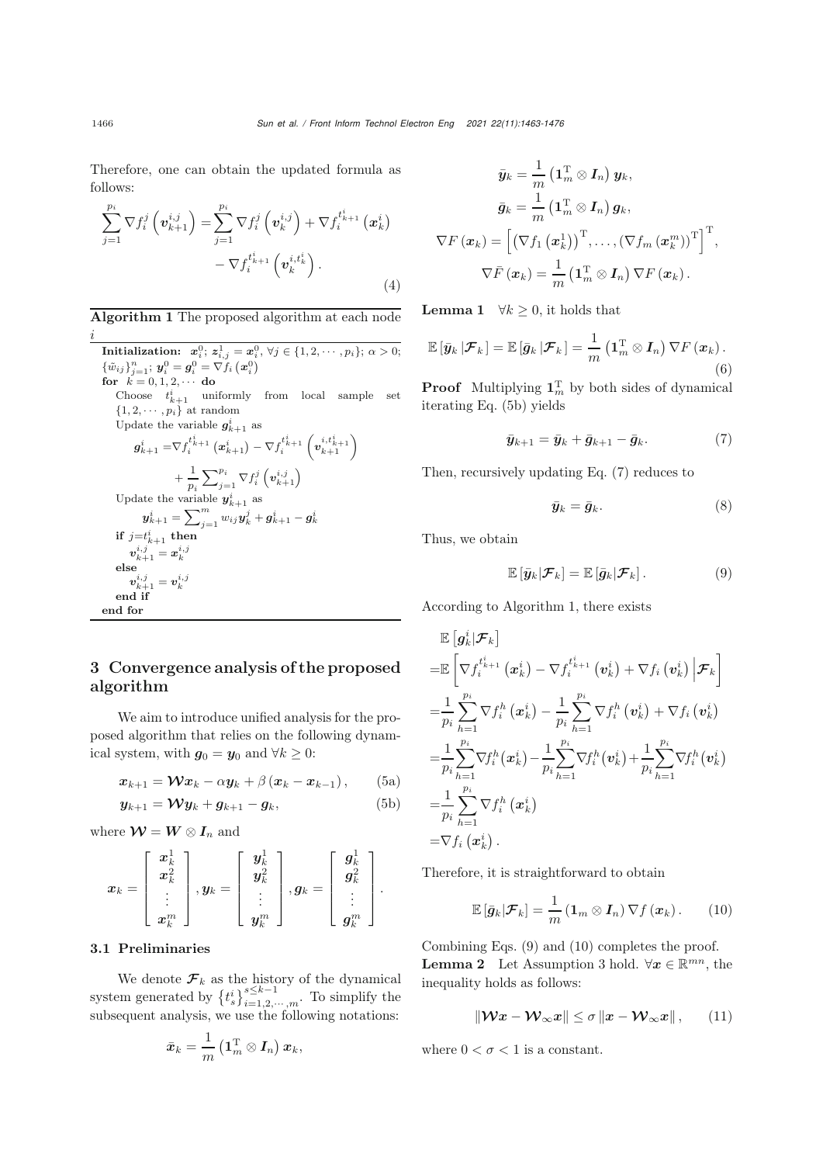Therefore, one can obtain the updated formula as follows:

$$
\sum_{j=1}^{p_i} \nabla f_i^j \left( \mathbf{v}_{k+1}^{i,j} \right) = \sum_{j=1}^{p_i} \nabla f_i^j \left( \mathbf{v}_k^{i,j} \right) + \nabla f_i^{t_{k+1}^i} \left( \mathbf{x}_k^i \right) - \nabla f_i^{t_{k+1}^i} \left( \mathbf{v}_k^{i,t_k^i} \right).
$$
\n(4)

Algorithm 1 The proposed algorithm at each node i

**Initialization:**  $x_i^0$ ;  $z_{i,j}^1 = x_i^0$ ,  $\forall j \in \{1, 2, \dots, p_i\}$ ;  $\alpha > 0$ ;  $\{\tilde{w}_{ij}\}_{j=1}^n$ ;  $y_i^0 = g_i^0 = \nabla f_i(x_i^0)$ <br>
for  $h = 0, 1, 2$ for  $k = 0, 1, 2, \cdots$  do Choose  $t_{k+1}^i$  uniformly from local sample set  $\{1, 2, \cdots, p_i\}$  at random Update the variable  $g_{k+1}^i$  as  $\bm{g}_{k+1}^i = \nabla f_i^{t_{k+1}^i}\left(\bm{x}_{k+1}^i\right) - \nabla f_i^{t_{k+1}^i}\left($  $\binom{i,t_{k+1}^i}{k+1}$  $+\frac{1}{1}$ p*i*  $\sum_{j=1}^{p_i} \nabla f_i^j \left( \boldsymbol{v}_{k+1}^{i,j} \right)$ Update the variable  $y_{k+1}^i$  as  $\boldsymbol{y}^{i}_{k+1} = \sum_{j=1}^{m} w_{ij} \boldsymbol{y}^{j}_{k} + \boldsymbol{g}^{i}_{k+1} - \boldsymbol{g}^{i}_{k}$ if  $j=t^i_{k+1}$  then  $\boldsymbol{v}_{k+1}^{i,j} = \boldsymbol{x}_k^{i,j}$ else  $\begin{array}{c} \bm{v}_{k+1}^{i,j}=\bm{v}_{k}^{i,j} \ \bm{d} \ \ \mathbf{if} \end{array}$ end if end for

# 3 Convergence analysis of the proposed algorithm

We aim to introduce unified analysis for the proposed algorithm that relies on the following dynamical system, with  $g_0 = y_0$  and  $\forall k \geq 0$ :

$$
\boldsymbol{x}_{k+1} = \boldsymbol{\mathcal{W}} \boldsymbol{x}_k - \alpha \boldsymbol{y}_k + \beta \left( \boldsymbol{x}_k - \boldsymbol{x}_{k-1} \right), \qquad (5a)
$$

$$
\mathbf{y}_{k+1} = \mathbf{W} \mathbf{y}_k + \mathbf{g}_{k+1} - \mathbf{g}_k, \tag{5b}
$$

where  $\mathcal{W} = W \otimes I_n$  and

$$
\boldsymbol{x}_k = \left[\begin{array}{c} \boldsymbol{x}^1_k \\ \boldsymbol{x}^2_k \\ \vdots \\ \boldsymbol{x}^m_k \end{array}\right], \boldsymbol{y}_k = \left[\begin{array}{c} \boldsymbol{y}^1_k \\ \boldsymbol{y}^2_k \\ \vdots \\ \boldsymbol{y}^m_k \end{array}\right], \boldsymbol{g}_k = \left[\begin{array}{c} \boldsymbol{g}^1_k \\ \boldsymbol{g}^2_k \\ \vdots \\ \boldsymbol{g}^m_k \end{array}\right].
$$

## 3.1 Preliminaries

We denote  $\mathcal{F}_k$  as the history of the dynamical system generated by  $\{t_s^i\}_{i=1,2,\cdots,m}^{s\leq k-1}$ . To simplify the subsequent analysis, we use the following notations:

$$
\bar{\boldsymbol{x}}_k = \frac{1}{m}\left(\mathbf{1}_m^{\mathrm{T}} \otimes \boldsymbol{I}_n\right) \boldsymbol{x}_k,
$$

$$
\bar{\boldsymbol{y}}_k = \frac{1}{m} \left( \mathbf{1}_m^{\mathrm{T}} \otimes \boldsymbol{I}_n \right) \boldsymbol{y}_k, \n\bar{\boldsymbol{g}}_k = \frac{1}{m} \left( \mathbf{1}_m^{\mathrm{T}} \otimes \boldsymbol{I}_n \right) \boldsymbol{g}_k, \n\nabla F \left( \boldsymbol{x}_k \right) = \left[ \left( \nabla f_1 \left( \boldsymbol{x}_k^1 \right) \right)^{\mathrm{T}}, \dots, \left( \nabla f_m \left( \boldsymbol{x}_k^m \right) \right)^{\mathrm{T}} \right]^{\mathrm{T}}, \n\nabla \bar{F} \left( \boldsymbol{x}_k \right) = \frac{1}{m} \left( \mathbf{1}_m^{\mathrm{T}} \otimes \boldsymbol{I}_n \right) \nabla F \left( \boldsymbol{x}_k \right).
$$

**Lemma 1**  $\forall k \geq 0$ , it holds that

$$
\mathbb{E}\left[\bar{\boldsymbol{y}}_k\left|\boldsymbol{\mathcal{F}}_k\right.\right] = \mathbb{E}\left[\bar{\boldsymbol{g}}_k\left|\boldsymbol{\mathcal{F}}_k\right.\right] = \frac{1}{m}\left(\mathbf{1}_m^{\mathrm{T}}\otimes\boldsymbol{I}_n\right)\nabla F\left(\boldsymbol{x}_k\right).
$$
\n(6)

**Proof** Multiplying  $\mathbf{1}_m^{\mathrm{T}}$  by both sides of dynamical iterating Eq. [\(5b\)](#page-3-0) yields

<span id="page-3-1"></span>
$$
\bar{\boldsymbol{y}}_{k+1} = \bar{\boldsymbol{y}}_k + \bar{\boldsymbol{g}}_{k+1} - \bar{\boldsymbol{g}}_k. \tag{7}
$$

Then, recursively updating Eq. [\(7\)](#page-3-1) reduces to

$$
\bar{\pmb{y}}_k = \bar{\pmb{g}}_k. \tag{8}
$$

Thus, we obtain

<span id="page-3-2"></span>
$$
\mathbb{E}\left[\bar{\boldsymbol{y}}_k|\boldsymbol{\mathcal{F}}_k\right] = \mathbb{E}\left[\bar{\boldsymbol{g}}_k|\boldsymbol{\mathcal{F}}_k\right].\tag{9}
$$

According to Algorithm 1, there exists

<span id="page-3-3"></span>
$$
\mathbb{E}\left[\mathbf{g}_{k}^{i}|\mathcal{F}_{k}\right] \n= \mathbb{E}\left[\nabla f_{i}^{i_{k+1}}\left(\mathbf{x}_{k}^{i}\right)-\nabla f_{i}^{i_{k+1}}\left(\mathbf{v}_{k}^{i}\right)+\nabla f_{i}\left(\mathbf{v}_{k}^{i}\right)\middle|\mathcal{F}_{k}\right] \n= \frac{1}{p_{i}}\sum_{h=1}^{p_{i}}\nabla f_{i}^{h}\left(\mathbf{x}_{k}^{i}\right)-\frac{1}{p_{i}}\sum_{h=1}^{p_{i}}\nabla f_{i}^{h}\left(\mathbf{v}_{k}^{i}\right)+\nabla f_{i}\left(\mathbf{v}_{k}^{i}\right) \n= \frac{1}{p_{i}}\sum_{h=1}^{p_{i}}\nabla f_{i}^{h}\left(\mathbf{x}_{k}^{i}\right)-\frac{1}{p_{i}}\sum_{h=1}^{p_{i}}\nabla f_{i}^{h}\left(\mathbf{v}_{k}^{i}\right)+\frac{1}{p_{i}}\sum_{h=1}^{p_{i}}\nabla f_{i}^{h}\left(\mathbf{v}_{k}^{i}\right) \n= \frac{1}{p_{i}}\sum_{h=1}^{p_{i}}\nabla f_{i}^{h}\left(\mathbf{x}_{k}^{i}\right) \n= \nabla f_{i}\left(\mathbf{x}_{k}^{i}\right).
$$

<span id="page-3-6"></span><span id="page-3-4"></span><span id="page-3-0"></span>Therefore, it is straightforward to obtain

$$
\mathbb{E}\left[\bar{\boldsymbol{g}}_k|\boldsymbol{\mathcal{F}}_k\right] = \frac{1}{m}\left(\mathbf{1}_m \otimes \boldsymbol{I}_n\right)\nabla f\left(\boldsymbol{x}_k\right). \qquad (10)
$$

<span id="page-3-5"></span>Combining Eqs. [\(9\)](#page-3-2) and [\(10\)](#page-3-3) completes the proof. **Lemma 2** Let Assumption [3](#page-2-0) hold.  $\forall x \in \mathbb{R}^{mn}$ , the inequality holds as follows:

$$
\|\mathcal{W}x-\mathcal{W}_{\infty}x\|\leq \sigma \|x-\mathcal{W}_{\infty}x\|, \qquad (11)
$$

where  $0 < \sigma < 1$  is a constant.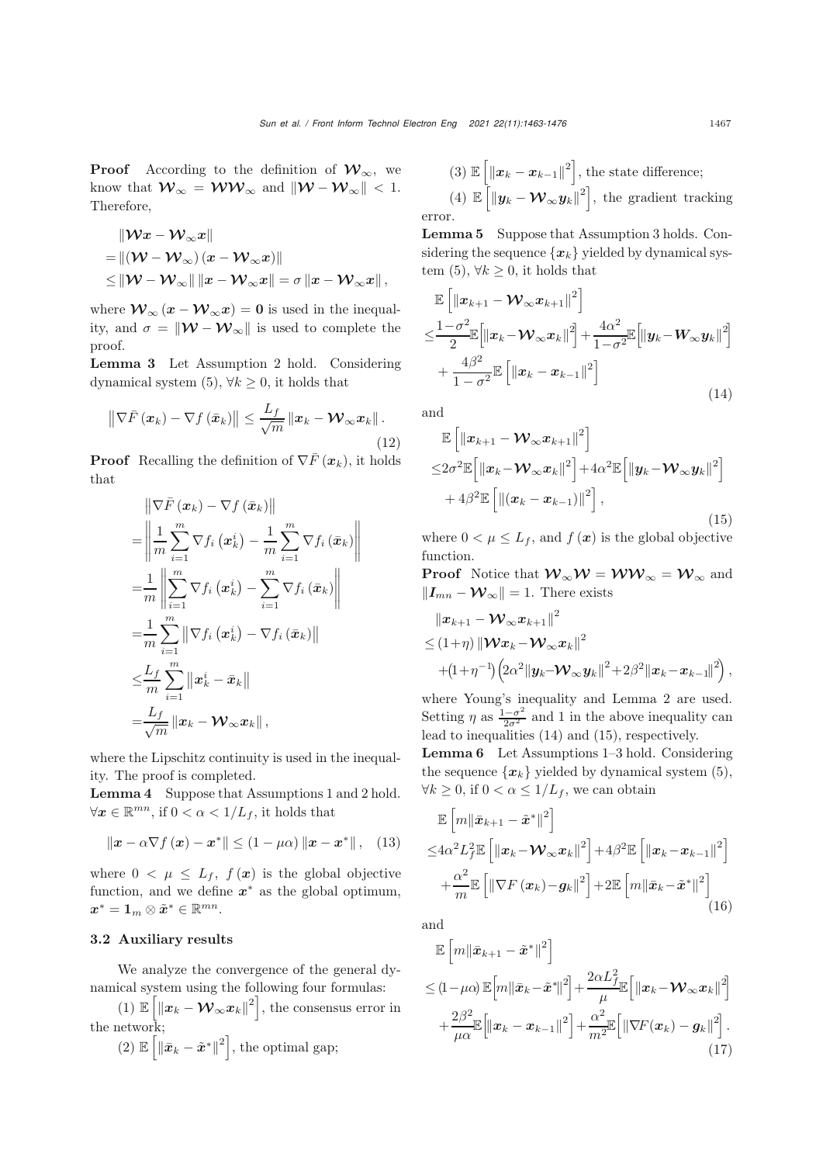**Proof** According to the definition of  $\mathcal{W}_{\infty}$ , we know that  $\mathcal{W}_{\infty} = \mathcal{WW}_{\infty}$  and  $\|\mathcal{W} - \mathcal{W}_{\infty}\| < 1$ .<br>Therefore Therefore,

$$
\| \mathcal{W} x - \mathcal{W}_{\infty} x \|
$$
  
=  $\| (\mathcal{W} - \mathcal{W}_{\infty}) (x - \mathcal{W}_{\infty} x) \|$   
 $\leq \| \mathcal{W} - \mathcal{W}_{\infty} \| \| x - \mathcal{W}_{\infty} x \| = \sigma \| x - \mathcal{W}_{\infty} x \|,$ 

where  $\mathcal{W}_{\infty}(x - \mathcal{W}_{\infty}x) = 0$  is used in the inequality, and  $\sigma = ||\mathcal{W} - \mathcal{W}_{\infty}||$  is used to complete the proof.

Lemma 3 Let Assumption [2](#page-2-1) hold. Considering dynamical system  $(5)$ ,  $\forall k \geq 0$ , it holds that

$$
\left\|\nabla\bar{F}\left(x_{k}\right)-\nabla f\left(\bar{x}_{k}\right)\right\| \leq \frac{L_{f}}{\sqrt{m}}\left\|x_{k}-\mathcal{W}_{\infty}x_{k}\right\|.
$$
\n(12)

**Proof** Recalling the definition of  $\nabla \bar{F}$   $(\mathbf{x}_k)$ , it holds that

$$
\begin{split}\n&= \left\| \nabla \bar{F} \left( \boldsymbol{x}_{k} \right) - \nabla f \left( \bar{\boldsymbol{x}}_{k} \right) \right\| \\
&= \left\| \frac{1}{m} \sum_{i=1}^{m} \nabla f_{i} \left( \boldsymbol{x}_{k}^{i} \right) - \frac{1}{m} \sum_{i=1}^{m} \nabla f_{i} \left( \bar{\boldsymbol{x}}_{k} \right) \right\| \\
&= \frac{1}{m} \left\| \sum_{i=1}^{m} \nabla f_{i} \left( \boldsymbol{x}_{k}^{i} \right) - \sum_{i=1}^{m} \nabla f_{i} \left( \bar{\boldsymbol{x}}_{k} \right) \right\| \\
&= \frac{1}{m} \sum_{i=1}^{m} \left\| \nabla f_{i} \left( \boldsymbol{x}_{k}^{i} \right) - \nabla f_{i} \left( \bar{\boldsymbol{x}}_{k} \right) \right\| \\
& \leq & \frac{L_{f}}{m} \sum_{i=1}^{m} \left\| \boldsymbol{x}_{k}^{i} - \bar{\boldsymbol{x}}_{k} \right\| \\
&= & \frac{L_{f}}{\sqrt{m}} \left\| \boldsymbol{x}_{k} - \mathcal{W}_{\infty} \boldsymbol{x}_{k} \right\|,\n\end{split}
$$

where the Lipschitz continuity is used in the inequality. The proof is completed.

Lemma 4 Suppose that Assumptions [1](#page-2-2) and [2](#page-2-1) hold.  $\forall x \in \mathbb{R}^{mn}$ , if  $0 < \alpha < 1/L_f$ , it holds that

$$
\|\boldsymbol{x} - \alpha \nabla f\left(\boldsymbol{x}\right) - \boldsymbol{x}^*\| \leq (1 - \mu \alpha) \|\boldsymbol{x} - \boldsymbol{x}^*\|, \quad (13)
$$

where  $0 < \mu \leq L_f$ ,  $f(\mathbf{x})$  is the global objective function, and we define  $x^*$  as the global optimum,  $x^* = \mathbf{1}_m \otimes \tilde{x}^* \in \mathbb{R}^{mn}$ .

## 3.2 Auxiliary results

We analyze the convergence of the general dynamical system using the following four formulas:

(1)  $\mathbb{E}\left[\left\|\boldsymbol{x}_k - \boldsymbol{\mathcal{W}}_{\infty} \boldsymbol{x}_k\right\|^2\right],$  the consensus error in the network;

(2) 
$$
\mathbb{E}\left[\left\|\bar{\boldsymbol{x}}_k - \tilde{\boldsymbol{x}}^*\right\|^2\right]
$$
, the optimal gap;

(3) 
$$
\mathbb{E}\left[\|\boldsymbol{x}_k - \boldsymbol{x}_{k-1}\|^2\right]
$$
, the state difference;  
\n(4)  $\mathbb{E}\left[\|\boldsymbol{y}_k - \boldsymbol{\mathcal{W}}_{\infty}\boldsymbol{y}_k\|^2\right]$ , the gradient tracking error.

<span id="page-4-4"></span>Lemma 5 Suppose that Assumption [3](#page-2-0) holds. Considering the sequence  $\{x_k\}$  yielded by dynamical sys-tem [\(5\)](#page-3-4),  $\forall k \geq 0$ , it holds that

<span id="page-4-0"></span>
$$
\mathbb{E}\left[\left\|\boldsymbol{x}_{k+1}-\boldsymbol{\mathcal{W}}_{\infty}\boldsymbol{x}_{k+1}\right\|^{2}\right] \n\leq \frac{1-\sigma^{2}}{2}\mathbb{E}\left[\left\|\boldsymbol{x}_{k}-\boldsymbol{\mathcal{W}}_{\infty}\boldsymbol{x}_{k}\right\|^{2}\right] + \frac{4\alpha^{2}}{1-\sigma^{2}}\mathbb{E}\left[\left\|\boldsymbol{y}_{k}-\boldsymbol{W}_{\infty}\boldsymbol{y}_{k}\right\|^{2}\right] \n+ \frac{4\beta^{2}}{1-\sigma^{2}}\mathbb{E}\left[\left\|\boldsymbol{x}_{k}-\boldsymbol{x}_{k-1}\right\|^{2}\right]
$$
\n(14)

and

<span id="page-4-1"></span>
$$
\mathbb{E}\left[\left\|\boldsymbol{x}_{k+1}-\boldsymbol{\mathcal{W}}_{\infty}\boldsymbol{x}_{k+1}\right\|^{2}\right] \n\leq2\sigma^{2}\mathbb{E}\left[\left\|\boldsymbol{x}_{k}-\boldsymbol{\mathcal{W}}_{\infty}\boldsymbol{x}_{k}\right\|^{2}\right]+4\alpha^{2}\mathbb{E}\left[\left\|\boldsymbol{y}_{k}-\boldsymbol{\mathcal{W}}_{\infty}\boldsymbol{y}_{k}\right\|^{2}\right] \n+4\beta^{2}\mathbb{E}\left[\left\|\left(\boldsymbol{x}_{k}-\boldsymbol{x}_{k-1}\right)\right\|^{2}\right],
$$
\n(15)

where  $0 < \mu \leq L_f$ , and  $f(\mathbf{x})$  is the global objective function.

**Proof** Notice that  $W_{\infty}W = WW_{\infty} = W_{\infty}$  and  $||\mathbf{I}_{mn} - \mathbf{\mathcal{W}}_{\infty}|| = 1$ . There exists

<span id="page-4-2"></span>
$$
\|\boldsymbol{x}_{k+1}-\boldsymbol{\mathcal{W}}_{\infty}\boldsymbol{x}_{k+1}\|^2\\ \leq(1+\eta)\left\|\boldsymbol{\mathcal{W}}\boldsymbol{x}_{k}-\boldsymbol{\mathcal{W}}_{\infty}\boldsymbol{x}_{k}\right\|^2\\+(1+\eta^{-1})\left(2\alpha^2\|\boldsymbol{y}_{k}-\boldsymbol{\mathcal{W}}_{\infty}\boldsymbol{y}_{k}\|^2+2\beta^2\|\boldsymbol{x}_{k}-\boldsymbol{x}_{k-1}\|^2\right),
$$

where Young's inequality and Lemma [2](#page-3-5) are used. Setting  $\eta$  as  $\frac{1-\sigma^2}{2\sigma^2}$  and 1 in the above inequality can lead to inequalities [\(14\)](#page-4-0) and [\(15\)](#page-4-1), respectively.

<span id="page-4-5"></span>Lemma 6 Let Assumptions [1–](#page-2-2)[3](#page-2-0) hold. Considering the sequence  $\{x_k\}$  yielded by dynamical system [\(5\)](#page-3-4),  $\forall k \geq 0$ , if  $0 < \alpha \leq 1/L_f$ , we can obtain

$$
\mathbb{E}\left[m\left\|\bar{\mathbf{x}}_{k+1}-\tilde{\mathbf{x}}^{*}\right\|^{2}\right] \n\leq 4\alpha^{2}L_{f}^{2}\mathbb{E}\left[\left\|\mathbf{x}_{k}-\mathbf{W}_{\infty}\mathbf{x}_{k}\right\|^{2}\right]+4\beta^{2}\mathbb{E}\left[\left\|\mathbf{x}_{k}-\mathbf{x}_{k-1}\right\|^{2}\right] \n+\frac{\alpha^{2}}{m}\mathbb{E}\left[\left\|\nabla F\left(\mathbf{x}_{k}\right)-\mathbf{g}_{k}\right\|^{2}\right]+2\mathbb{E}\left[m\left\|\bar{\mathbf{x}}_{k}-\tilde{\mathbf{x}}^{*}\right\|^{2}\right] \tag{16}
$$

and

<span id="page-4-3"></span>
$$
\mathbb{E}\left[m\|\bar{\mathbf{x}}_{k+1}-\tilde{\mathbf{x}}^*\|^2\right] \n\leq (1-\mu\alpha)\mathbb{E}\left[m\|\bar{\mathbf{x}}_k-\tilde{\mathbf{x}}^*\|^2\right] + \frac{2\alpha L_{f\mathbb{E}}^2}{\mu}\left[\|\mathbf{x}_k-\mathbf{W}_{\infty}\mathbf{x}_k\|^2\right] \n+ \frac{2\beta^2}{\mu\alpha}\mathbb{E}\left[\|\mathbf{x}_k-\mathbf{x}_{k-1}\|^2\right] + \frac{\alpha^2}{m^2}\mathbb{E}\left[\|\nabla F(\mathbf{x}_k)-\mathbf{g}_k\|^2\right].
$$
\n(17)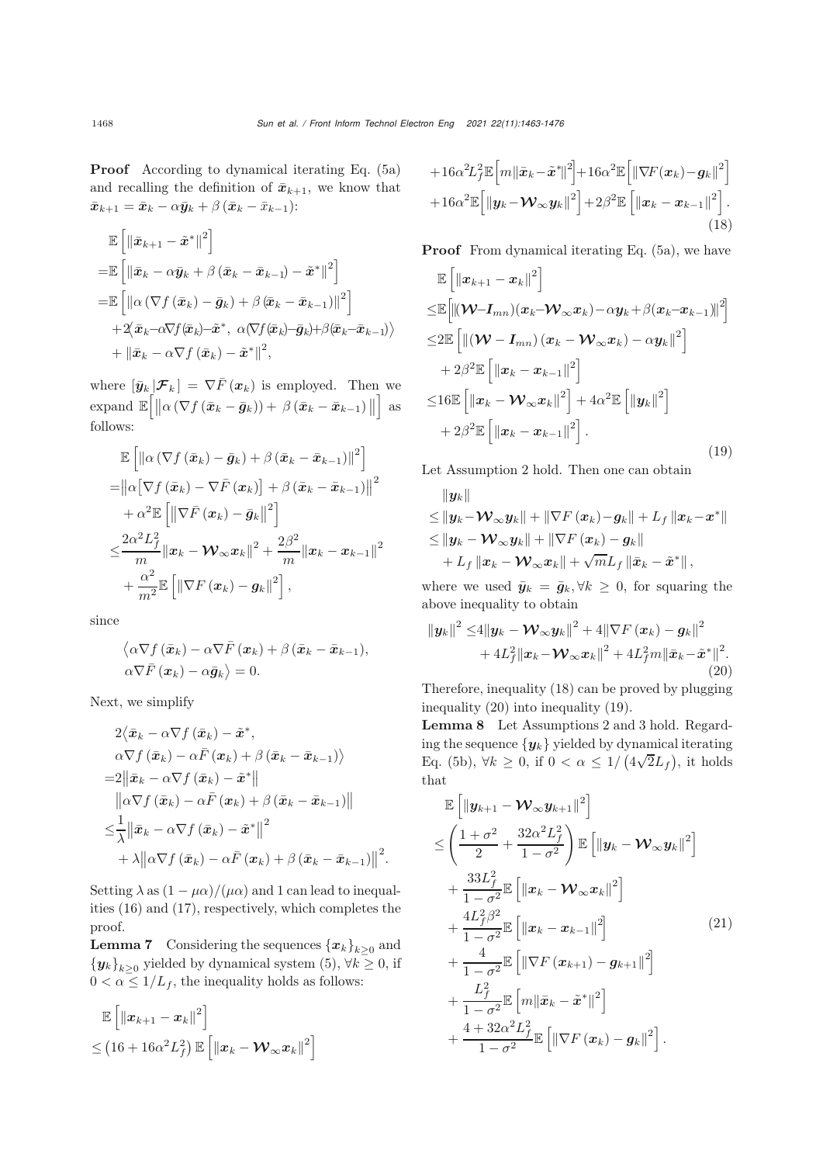Proof According to dynamical iterating Eq. [\(5a\)](#page-3-6) and recalling the definition of  $\bar{x}_{k+1}$ , we know that  $\bar{x}_{k+1} = \bar{x}_k - \alpha \bar{y}_k + \beta (\bar{x}_k - \bar{x}_{k-1})$ :

<span id="page-5-0"></span>
$$
\mathbb{E}\left[\left\|\bar{x}_{k+1}-\tilde{x}^*\right\|^2\right] \n= \mathbb{E}\left[\left\|\bar{x}_k-\alpha \bar{y}_k+\beta\left(\bar{x}_k-\bar{x}_{k-1}\right)-\tilde{x}^*\right\|^2\right] \n= \mathbb{E}\left[\left\|\alpha\left(\nabla f\left(\bar{x}_k\right)-\bar{g}_k\right)+\beta\left(\bar{x}_k-\bar{x}_{k-1}\right)\right\|^2\right] \n+ 2\langle \bar{x}_k-\alpha \nabla f(\bar{x}_k)-\tilde{x}^*, \ \alpha(\nabla f(\bar{x}_k)-\bar{g}_k)+\beta(\bar{x}_k-\bar{x}_{k-1})\rangle \n+ \left\|\bar{x}_k-\alpha \nabla f\left(\bar{x}_k\right)-\tilde{x}^*\right\|^2,
$$

where  $[\bar{y}_k | \mathcal{F}_k] = \nabla \bar{F}(\bm{x}_k)$  is employed. Then we  $\exp \text{ and } \mathbb{E}\left[ \left\| \alpha \left( \nabla f\left( \bar{x}_k - \bar{g}_k \right) \right) + \beta \left( \bar{x}_k - \bar{x}_{k-1} \right) \right\| \right]$  as follows:

$$
\mathbb{E}\left[\left\|\alpha\left(\nabla f\left(\bar{x}_k\right)-\bar{g}_k\right)+\beta\left(\bar{x}_k-\bar{x}_{k-1}\right)\right\|^2\right] \n= \left\|\alpha\big[\nabla f\left(\bar{x}_k\right)-\nabla \bar{F}\left(x_k\right)\right]+\beta\left(\bar{x}_k-\bar{x}_{k-1}\right)\right\|^2 \n+ \alpha^2 \mathbb{E}\left[\left\|\nabla \bar{F}\left(x_k\right)-\bar{g}_k\right\|^2\right] \n\leq \frac{2\alpha^2 L_f^2}{m} \left\|x_k-\mathcal{W}_\infty x_k\right\|^2 + \frac{2\beta^2}{m} \left\|x_k-\bm{x}_{k-1}\right\|^2 \n+ \frac{\alpha^2}{m^2} \mathbb{E}\left[\left\|\nabla F\left(x_k\right)-g_k\right\|^2\right],
$$

since

$$
\langle \alpha \nabla f\left(\bar{\boldsymbol{x}}_k\right) - \alpha \nabla \bar{F}\left(\boldsymbol{x}_k\right) + \beta \left(\bar{\boldsymbol{x}}_k - \bar{\boldsymbol{x}}_{k-1}\right),
$$
  
 
$$
\alpha \nabla \bar{F}\left(\boldsymbol{x}_k\right) - \alpha \bar{\boldsymbol{g}}_k \rangle = 0.
$$

Next, we simplify

$$
2\langle \bar{x}_{k} - \alpha \nabla f(\bar{x}_{k}) - \tilde{x}^{*},
$$
  
\n
$$
\alpha \nabla f(\bar{x}_{k}) - \alpha \bar{F}(\bar{x}_{k}) + \beta (\bar{x}_{k} - \bar{x}_{k-1})\rangle
$$
  
\n
$$
= 2\|\bar{x}_{k} - \alpha \nabla f(\bar{x}_{k}) - \tilde{x}^{*}\|
$$
  
\n
$$
\|\alpha \nabla f(\bar{x}_{k}) - \alpha \bar{F}(\bar{x}_{k}) + \beta (\bar{x}_{k} - \bar{x}_{k-1})\|
$$
  
\n
$$
\leq \frac{1}{\lambda} \|\bar{x}_{k} - \alpha \nabla f(\bar{x}_{k}) - \tilde{x}^{*}\|^{2}
$$
  
\n
$$
+ \lambda \|\alpha \nabla f(\bar{x}_{k}) - \alpha \bar{F}(\bar{x}_{k}) + \beta (\bar{x}_{k} - \bar{x}_{k-1})\|^{2}.
$$

Setting  $\lambda$  as  $(1 - \mu \alpha)/(\mu \alpha)$  and 1 can lead to inequalities [\(16\)](#page-4-2) and [\(17\)](#page-4-3), respectively, which completes the proof.

**Lemma 7** Considering the sequences  ${x_k}_{k\geq0}$  and  ${\{y_k\}}_{k>0}$  yielded by dynamical system [\(5\)](#page-3-4),  $\forall k \geq 0$ , if  $0 < \alpha \leq 1/L_f$ , the inequality holds as follows:

$$
\mathbb{E}\left[\left\|\boldsymbol{x}_{k+1}-\boldsymbol{x}_{k}\right\|^{2}\right] \\ \leq \left(16+16\alpha^{2}L_{f}^{2}\right)\mathbb{E}\left[\left\|\boldsymbol{x}_{k}-\boldsymbol{\mathcal{W}}_{\infty}\boldsymbol{x}_{k}\right\|^{2}\right]
$$

$$
+16\alpha^{2}L_{f}^{2}\mathbb{E}\left[m\left\|\bar{\mathbf{x}}_{k}-\tilde{\mathbf{x}}^{*}\right\|^{2}\right]+16\alpha^{2}\mathbb{E}\left[\left\|\nabla F(\mathbf{x}_{k})-\mathbf{g}_{k}\right\|^{2}\right] +16\alpha^{2}\mathbb{E}\left[\left\|\mathbf{y}_{k}-\mathbf{W}_{\infty}\mathbf{y}_{k}\right\|^{2}\right]+2\beta^{2}\mathbb{E}\left[\left\|\mathbf{x}_{k}-\mathbf{x}_{k-1}\right\|^{2}\right].
$$
\n(18)

**Proof** From dynamical iterating Eq.  $(5a)$ , we have

<span id="page-5-2"></span>
$$
\mathbb{E}\left[\left\|\boldsymbol{x}_{k+1}-\boldsymbol{x}_{k}\right\|^{2}\right] \n\leq \mathbb{E}\left[\left\|\left(\boldsymbol{\mathcal{W}}-\boldsymbol{I}_{mn}\right)(\boldsymbol{x}_{k}-\boldsymbol{\mathcal{W}}_{\infty}\boldsymbol{x}_{k})-\alpha\boldsymbol{y}_{k}+\beta(\boldsymbol{x}_{k}-\boldsymbol{x}_{k-1})\right\|^{2}\right] \n\leq 2\mathbb{E}\left[\left\|\left(\boldsymbol{\mathcal{W}}-\boldsymbol{I}_{mn}\right)(\boldsymbol{x}_{k}-\boldsymbol{\mathcal{W}}_{\infty}\boldsymbol{x}_{k})-\alpha\boldsymbol{y}_{k}\right\|^{2}\right] \n+2\beta^{2}\mathbb{E}\left[\left\|\boldsymbol{x}_{k}-\boldsymbol{x}_{k-1}\right\|^{2}\right] \n\leq 16\mathbb{E}\left[\left\|\boldsymbol{x}_{k}-\boldsymbol{\mathcal{W}}_{\infty}\boldsymbol{x}_{k}\right\|^{2}\right] + 4\alpha^{2}\mathbb{E}\left[\left\|\boldsymbol{y}_{k}\right\|^{2}\right] \n+2\beta^{2}\mathbb{E}\left[\left\|\boldsymbol{x}_{k}-\boldsymbol{x}_{k-1}\right\|^{2}\right].
$$
\n(19)

Let Assumption [2](#page-2-1) hold. Then one can obtain

<span id="page-5-1"></span>
$$
\|y_k\|
$$
  
\n
$$
\leq \|y_k - \mathcal{W}_{\infty} y_k\| + \|\nabla F(x_k) - g_k\| + L_f \|x_k - x^*\|
$$
  
\n
$$
\leq \|y_k - \mathcal{W}_{\infty} y_k\| + \|\nabla F(x_k) - g_k\|
$$
  
\n
$$
+ L_f \|x_k - \mathcal{W}_{\infty} x_k\| + \sqrt{m}L_f \|\bar{x}_k - \tilde{x}^*\|,
$$

where we used  $\bar{y}_k = \bar{g}_k, \forall k \geq 0$ , for squaring the above inequality to obtain

$$
\|\boldsymbol{y}_k\|^2 \leq 4 \|\boldsymbol{y}_k - \boldsymbol{\mathcal{W}}_\infty \boldsymbol{y}_k\|^2 + 4 \|\nabla F(\boldsymbol{x}_k) - \boldsymbol{g}_k\|^2 + 4L_f^2 \|\boldsymbol{x}_k - \boldsymbol{\mathcal{W}}_\infty \boldsymbol{x}_k\|^2 + 4L_f^2 m \|\bar{\boldsymbol{x}}_k - \tilde{\boldsymbol{x}}^*\|^2.
$$
\n(20)

Therefore, inequality [\(18\)](#page-5-0) can be proved by plugging inequality [\(20\)](#page-5-1) into inequality [\(19\)](#page-5-2).

Lemma 8 Let Assumptions [2](#page-2-1) and [3](#page-2-0) hold. Regarding the sequence  $\{y_k\}$  yielded by dynamical iterating Eq. [\(5b\)](#page-3-0),  $\forall k \geq 0$ , if  $0 < \alpha \leq 1/$  (  $(4\sqrt{2}L_f)$ , it holds that

<span id="page-5-3"></span>
$$
\mathbb{E}\left[\|\mathbf{y}_{k+1}-\mathbf{\mathcal{W}}_{\infty}\mathbf{y}_{k+1}\|^2\right] \n\leq \left(\frac{1+\sigma^2}{2}+\frac{32\alpha^2L_f^2}{1-\sigma^2}\right)\mathbb{E}\left[\|\mathbf{y}_k-\mathbf{\mathcal{W}}_{\infty}\mathbf{y}_k\|^2\right] \n+ \frac{33L_f^2}{1-\sigma^2}\mathbb{E}\left[\|\mathbf{x}_k-\mathbf{\mathcal{W}}_{\infty}\mathbf{x}_k\|^2\right] \n+ \frac{4L_f^2\beta^2}{1-\sigma^2}\mathbb{E}\left[\|\mathbf{x}_k-\mathbf{x}_{k-1}\|^2\right] \n+ \frac{4}{1-\sigma^2}\mathbb{E}\left[\|\nabla F(\mathbf{x}_{k+1})-\mathbf{g}_{k+1}\|^2\right] \n+ \frac{L_f^2}{1-\sigma^2}\mathbb{E}\left[\|\nabla F(\mathbf{x}_{k+1})-\mathbf{g}_{k+1}\|^2\right] \n+ \frac{4+32\alpha^2L_f^2}{1-\sigma^2}\mathbb{E}\left[\|\nabla F(\mathbf{x}_k)-\mathbf{g}_k\|^2\right].
$$
\n(21)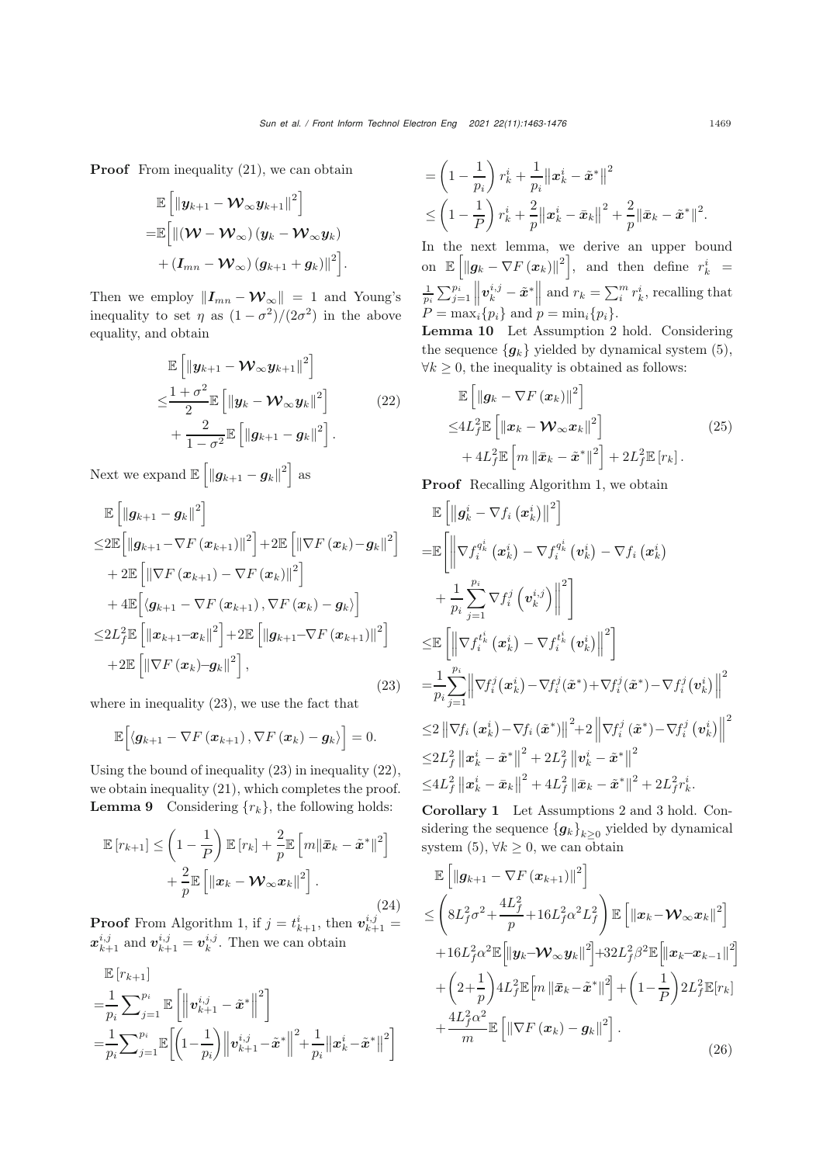**Proof** From inequality [\(21\)](#page-5-3), we can obtain

<span id="page-6-1"></span>
$$
\begin{aligned} &\mathbb{E}\left[\left\|\boldsymbol{y}_{k+1}-\boldsymbol{\mathcal{W}}_\infty\boldsymbol{y}_{k+1}\right\|^2\right] \\ =&\mathbb{E}\Big[\|(\boldsymbol{\mathcal{W}}-\boldsymbol{\mathcal{W}}_\infty)\left(\boldsymbol{y}_{k}-\boldsymbol{\mathcal{W}}_\infty\boldsymbol{y}_{k}\right) \\ &+\left(\boldsymbol{I}_{mn}-\boldsymbol{\mathcal{W}}_\infty\right)\left(\boldsymbol{g}_{k+1}+\boldsymbol{g}_{k}\right)\|^2\Big]. \end{aligned}
$$

Then we employ  $||I_{mn} - \mathcal{W}_{\infty}|| = 1$  and Young's<br>inequality to set n as  $(1 - \sigma^2)/(2\sigma^2)$  in the above inequality to set  $\eta$  as  $(1 - \sigma^2)/(2\sigma^2)$  in the above equality, and obtain

$$
\mathbb{E}\left[\left\|\boldsymbol{y}_{k+1}-\boldsymbol{\mathcal{W}}_{\infty}\boldsymbol{y}_{k+1}\right\|^{2}\right] \n\leq \frac{1+\sigma^{2}}{2}\mathbb{E}\left[\left\|\boldsymbol{y}_{k}-\boldsymbol{\mathcal{W}}_{\infty}\boldsymbol{y}_{k}\right\|^{2}\right] \n+\frac{2}{1-\sigma^{2}}\mathbb{E}\left[\left\|\boldsymbol{g}_{k+1}-\boldsymbol{g}_{k}\right\|^{2}\right].
$$
\n(22)

Next we expand  $\mathbb{E}\left[\left\|\boldsymbol{g}_{k+1}-\boldsymbol{g}_{k}\right\|^{2}\right]$  as

<span id="page-6-0"></span>
$$
\mathbb{E}\left[\left\|\boldsymbol{g}_{k+1}-\boldsymbol{g}_{k}\right\|^{2}\right] \n\leq 2\mathbb{E}\left[\left\|\boldsymbol{g}_{k+1}-\nabla F\left(\boldsymbol{x}_{k+1}\right)\right\|^{2}\right] + 2\mathbb{E}\left[\left\|\nabla F\left(\boldsymbol{x}_{k}\right)-\boldsymbol{g}_{k}\right\|^{2}\right] \n+ 2\mathbb{E}\left[\left\|\nabla F\left(\boldsymbol{x}_{k+1}\right)-\nabla F\left(\boldsymbol{x}_{k}\right)\right\|^{2}\right] \n+ 4\mathbb{E}\left[\left\langle \boldsymbol{g}_{k+1}-\nabla F\left(\boldsymbol{x}_{k+1}\right), \nabla F\left(\boldsymbol{x}_{k}\right)-\boldsymbol{g}_{k}\right\rangle\right] \n\leq 2L_{f}^{2}\mathbb{E}\left[\left\|\boldsymbol{x}_{k+1}-\boldsymbol{x}_{k}\right\|^{2}\right] + 2\mathbb{E}\left[\left\|\boldsymbol{g}_{k+1}-\nabla F\left(\boldsymbol{x}_{k+1}\right)\right\|^{2}\right] \n+ 2\mathbb{E}\left[\left\|\nabla F\left(\boldsymbol{x}_{k}\right)-\boldsymbol{g}_{k}\right\|^{2}\right],
$$
\n(23)

where in inequality [\(23\)](#page-6-0), we use the fact that

<span id="page-6-3"></span>
$$
\mathbb{E}\Big[\langle \boldsymbol{g}_{k+1}-\nabla F\left(\boldsymbol{x}_{k+1}\right),\nabla F\left(\boldsymbol{x}_{k}\right)-\boldsymbol{g}_{k}\rangle\Big]=0.
$$

Using the bound of inequality [\(23\)](#page-6-0) in inequality [\(22\)](#page-6-1), we obtain inequality [\(21\)](#page-5-3), which completes the proof. **Lemma 9** Considering  $\{r_k\}$ , the following holds:

<span id="page-6-4"></span>
$$
\mathbb{E}\left[r_{k+1}\right] \leq \left(1 - \frac{1}{P}\right) \mathbb{E}\left[r_k\right] + \frac{2}{p} \mathbb{E}\left[m\|\bar{\boldsymbol{x}}_k - \tilde{\boldsymbol{x}}^*\|^2\right] + \frac{2}{p} \mathbb{E}\left[\|\boldsymbol{x}_k - \boldsymbol{\mathcal{W}}_{\infty} \boldsymbol{x}_k\|^2\right].
$$
\n(24)

**Proof** From Algorithm 1, if  $j = t_{k+1}^i$ , then  $v_{k+1}^{i,j} =$ <br> $x_{k+1}^{i,j}$  and  $v_{k+1}^{i,j} = v_k^{i,j}$ . Then we can obtain

$$
\mathbb{E}\left[r_{k+1}\right] = \frac{1}{p_i} \sum_{j=1}^{p_i} \mathbb{E}\left[\left\|\mathbf{v}_{k+1}^{i,j} - \tilde{\mathbf{x}}^*\right\|^2\right] = \frac{1}{p_i} \sum_{j=1}^{p_i} \mathbb{E}\left[\left(1 - \frac{1}{p_i}\right) \left\|\mathbf{v}_{k+1}^{i,j} - \tilde{\mathbf{x}}^*\right\|^2 + \frac{1}{p_i} \left\|\mathbf{x}_k^i - \tilde{\mathbf{x}}^*\right\|^2\right]
$$

$$
= \left(1 - \frac{1}{p_i}\right) r_k^i + \frac{1}{p_i} \|x_k^i - \tilde{x}^*\|^2
$$
  

$$
\leq \left(1 - \frac{1}{P}\right) r_k^i + \frac{2}{p} \|x_k^i - \bar{x}_k\|^2 + \frac{2}{p} \|\bar{x}_k - \tilde{x}^*\|^2.
$$

In the next lemma, we derive an upper bound on  $\mathbb{E}\left[\left\|\boldsymbol{g}_k - \nabla F\left(\boldsymbol{x}_k\right)\right\|^2\right],$  and then define  $r_k^i =$  $\frac{1}{p_i} \sum_{j=1}^{p_i}$  $v_k^{i,j} - \tilde{x}^*$  and  $r_k = \sum_i^m r_k^i$ , recalling that  $P = \max_{i}^{n} \{p_i\}$  and  $p = \min_{i} \{p_i\}.$ 

<span id="page-6-2"></span>Lemma 10 Let Assumption [2](#page-2-1) hold. Considering the sequence  ${g_k}$  yielded by dynamical system [\(5\)](#page-3-4),  $\forall k \geq 0$ , the inequality is obtained as follows:

<span id="page-6-6"></span>
$$
\mathbb{E}\left[\left\|\boldsymbol{g}_{k}-\nabla F\left(\boldsymbol{x}_{k}\right)\right\|^{2}\right] \leq 4L_{f}^{2}\mathbb{E}\left[\left\|\boldsymbol{x}_{k}-\boldsymbol{\mathcal{W}}_{\infty}\boldsymbol{x}_{k}\right\|^{2}\right] + 4L_{f}^{2}\mathbb{E}\left[m\left\|\bar{\boldsymbol{x}}_{k}-\tilde{\boldsymbol{x}}^{*}\right\|^{2}\right] + 2L_{f}^{2}\mathbb{E}\left[r_{k}\right].
$$
\n(25)

Proof Recalling Algorithm 1, we obtain

$$
\mathbb{E}\left[\left\|\boldsymbol{g}_{k}^{i}-\nabla f_{i}\left(\boldsymbol{x}_{k}^{i}\right)\right\|^{2}\right] \n= \mathbb{E}\left[\left\|\nabla f_{i}^{q_{k}^{i}}\left(\boldsymbol{x}_{k}^{i}\right)-\nabla f_{i}^{q_{k}^{i}}\left(\boldsymbol{v}_{k}^{i}\right)-\nabla f_{i}\left(\boldsymbol{x}_{k}^{i}\right)\right. \right. \\ \left. +\frac{1}{p_{i}}\sum_{j=1}^{p_{i}}\nabla f_{i}^{j}\left(\boldsymbol{v}_{k}^{i,j}\right)\right\|^{2}\right] \n\leq \mathbb{E}\left[\left\|\nabla f_{i}^{t_{k}^{i}}\left(\boldsymbol{x}_{k}^{i}\right)-\nabla f_{i}^{t_{k}^{i}}\left(\boldsymbol{v}_{k}^{i}\right)\right\|^{2}\right] \n= \frac{1}{p_{i}}\sum_{j=1}^{p_{i}}\left\|\nabla f_{i}^{j}\left(\boldsymbol{x}_{k}^{i}\right)-\nabla f_{i}^{j}(\tilde{\boldsymbol{x}}^{*})+\nabla f_{i}^{j}(\tilde{\boldsymbol{x}}^{*})-\nabla f_{i}^{j}\left(\boldsymbol{v}_{k}^{i}\right)\right\|^{2} \n\leq 2\left\|\nabla f_{i}\left(\boldsymbol{x}_{k}^{i}\right)-\nabla f_{i}\left(\tilde{\boldsymbol{x}}^{*}\right)\right\|^{2} + 2\left\|\nabla f_{i}^{j}\left(\tilde{\boldsymbol{x}}^{*}\right)-\nabla f_{i}^{j}\left(\boldsymbol{v}_{k}^{i}\right)\right\|^{2} \n\leq 2L_{f}^{2}\left\|\boldsymbol{x}_{k}^{i}-\tilde{\boldsymbol{x}}^{*}\right\|^{2} + 2L_{f}^{2}\left\|\boldsymbol{v}_{k}^{i}-\tilde{\boldsymbol{x}}^{*}\right\|^{2} \n\leq 4L_{f}^{2}\left\|\boldsymbol{x}_{k}^{i}-\tilde{\boldsymbol{x}}_{k}\right\|^{2} + 4L_{f}^{2}\left\|\bar{\boldsymbol{x}}_{k}-\tilde{\boldsymbol{x}}^{*}\right\|^{2} + 2L_{f}^{2}r_{k}^{i}.
$$

<span id="page-6-5"></span>Corollary 1 Let Assumptions [2](#page-2-1) and [3](#page-2-0) hold. Considering the sequence  ${g_k}_{k>0}$  yielded by dynamical system [\(5\)](#page-3-4),  $\forall k \geq 0$ , we can obtain

$$
\mathbb{E}\left[\left\|\boldsymbol{g}_{k+1}-\nabla F\left(\boldsymbol{x}_{k+1}\right)\right\|^{2}\right] \n\leq \left(8L_{f}^{2}\sigma^{2}+\frac{4L_{f}^{2}}{p}+16L_{f}^{2}\alpha^{2}L_{f}^{2}\right)\mathbb{E}\left[\left\|\boldsymbol{x}_{k}-\boldsymbol{\mathcal{W}}_{\infty}\boldsymbol{x}_{k}\right\|^{2}\right] \n+16L_{f}^{2}\alpha^{2}\mathbb{E}\left[\left\|\boldsymbol{y}_{k}-\boldsymbol{\mathcal{W}}_{\infty}\boldsymbol{y}_{k}\right\|^{2}\right]+32L_{f}^{2}\beta^{2}\mathbb{E}\left[\left\|\boldsymbol{x}_{k}-\boldsymbol{x}_{k-1}\right\|^{2}\right] \n+\left(2+\frac{1}{p}\right)4L_{f}^{2}\mathbb{E}\left[m\left\|\bar{\boldsymbol{x}}_{k}-\tilde{\boldsymbol{x}}^{*}\right\|^{2}\right]+\left(1-\frac{1}{p}\right)2L_{f}^{2}\mathbb{E}[r_{k}] \n+\frac{4L_{f}^{2}\alpha^{2}}{m}\mathbb{E}\left[\left\|\nabla F\left(\boldsymbol{x}_{k}\right)-\boldsymbol{g}_{k}\right\|^{2}\right].
$$
\n(26)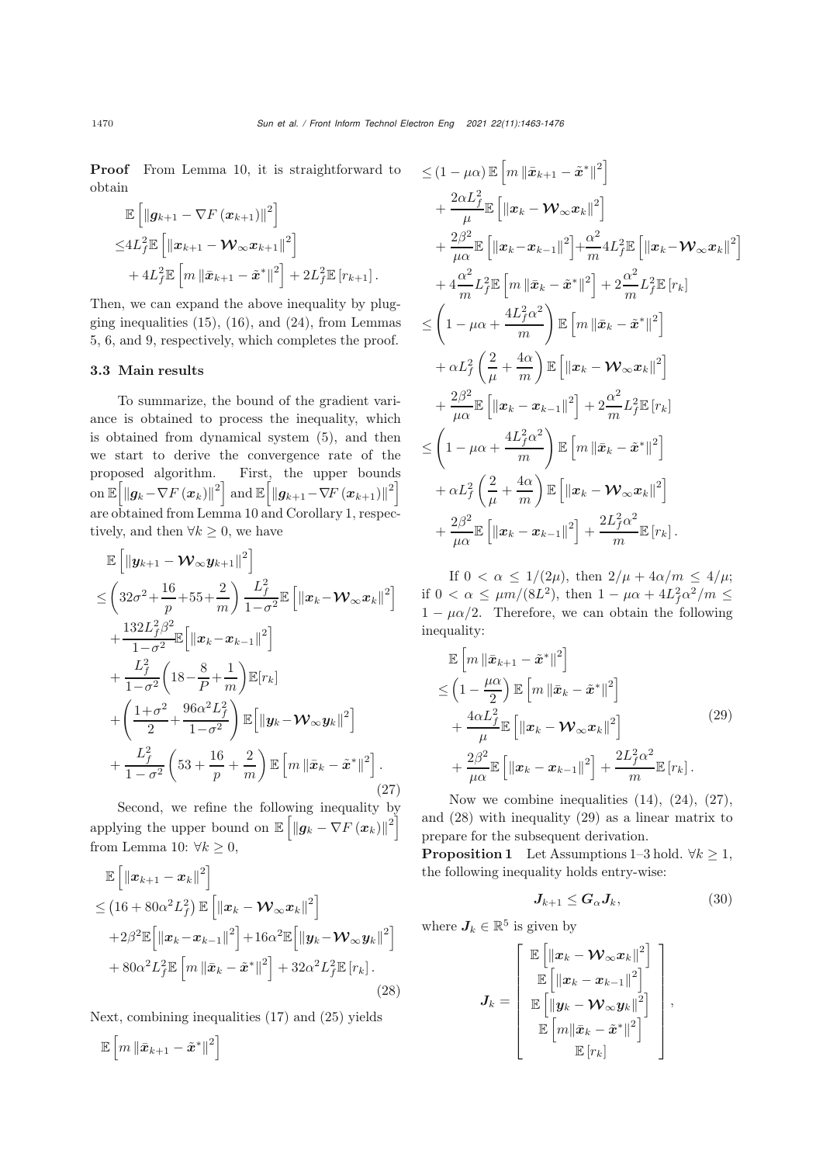Proof From Lemma [10,](#page-6-2) it is straightforward to obtain

<span id="page-7-0"></span>
$$
\mathbb{E}\left[\left\|\boldsymbol{g}_{k+1}-\nabla F\left(\boldsymbol{x}_{k+1}\right)\right\|^2\right] \n\leq 4L_f^2 \mathbb{E}\left[\left\|\boldsymbol{x}_{k+1}-\boldsymbol{\mathcal{W}}_{\infty}\boldsymbol{x}_{k+1}\right\|^2\right] \n+ 4L_f^2 \mathbb{E}\left[m\left\|\bar{\boldsymbol{x}}_{k+1}-\tilde{\boldsymbol{x}}^*\right\|^2\right] + 2L_f^2 \mathbb{E}\left[r_{k+1}\right].
$$

Then, we can expand the above inequality by plugging inequalities  $(15)$ ,  $(16)$ , and  $(24)$ , from Lemmas [5,](#page-4-4) [6,](#page-4-5) and [9,](#page-6-4) respectively, which completes the proof.

## 3.3 Main results

To summarize, the bound of the gradient variance is obtained to process the inequality, which is obtained from dynamical system [\(5\)](#page-3-4), and then we start to derive the convergence rate of the proposed algorithm. First, the upper bounds on  $\mathbb{E}\left[\left\|\boldsymbol{g}_k-\nabla F\left(\boldsymbol{x}_k\right)\right\|^2\right]$  and  $\mathbb{E}\left[\left\|\boldsymbol{g}_{k+1}-\nabla F\left(\boldsymbol{x}_{k+1}\right)\right\|^2\right]$ are obtained from Lemma [10](#page-6-2) and Corollary [1,](#page-6-5) respectively, and then  $\forall k \geq 0$ , we have

$$
\mathbb{E}\left[\left\|\mathbf{y}_{k+1}-\mathbf{\mathcal{W}}_{\infty}\mathbf{y}_{k+1}\right\|^{2}\right] \n\leq \left(32\sigma^{2}+\frac{16}{p}+55+\frac{2}{m}\right)\frac{L_{f}^{2}}{1-\sigma^{2}}\mathbb{E}\left[\left\|\mathbf{x}_{k}-\mathbf{\mathcal{W}}_{\infty}\mathbf{x}_{k}\right\|^{2}\right] \n+\frac{132L_{f}^{2}\beta^{2}}{1-\sigma^{2}}\mathbb{E}\left[\left\|\mathbf{x}_{k}-\mathbf{x}_{k-1}\right\|^{2}\right] \n+\frac{L_{f}^{2}}{1-\sigma^{2}}\left(18-\frac{8}{p}+\frac{1}{m}\right)\mathbb{E}[r_{k}] \n+\left(\frac{1+\sigma^{2}}{2}+\frac{96\alpha^{2}L_{f}^{2}}{1-\sigma^{2}}\right)\mathbb{E}\left[\left\|\mathbf{y}_{k}-\mathbf{\mathcal{W}}_{\infty}\mathbf{y}_{k}\right\|^{2}\right] \n+\frac{L_{f}^{2}}{1-\sigma^{2}}\left(53+\frac{16}{p}+\frac{2}{m}\right)\mathbb{E}\left[m\left\|\bar{\mathbf{x}}_{k}-\tilde{\mathbf{x}}^{*}\right\|^{2}\right].
$$
\n(27)

Second, we refine the following inequality by applying the upper bound on  $\mathbb{E}\left[\left\|\boldsymbol{g}_k - \nabla F\left(\boldsymbol{x}_k\right)\right\|^2\right]$ from Lemma [10:](#page-6-2)  $\forall k \geq 0$ ,

$$
\mathbb{E}\left[\left\|\boldsymbol{x}_{k+1}-\boldsymbol{x}_{k}\right\|^{2}\right] \n\leq \left(16+80\alpha^{2}L_{f}^{2}\right)\mathbb{E}\left[\left\|\boldsymbol{x}_{k}-\boldsymbol{\mathcal{W}}_{\infty}\boldsymbol{x}_{k}\right\|^{2}\right] \n+2\beta^{2}\mathbb{E}\left[\left\|\boldsymbol{x}_{k}-\boldsymbol{x}_{k-1}\right\|^{2}\right]+16\alpha^{2}\mathbb{E}\left[\left\|\boldsymbol{y}_{k}-\boldsymbol{\mathcal{W}}_{\infty}\boldsymbol{y}_{k}\right\|^{2}\right] \n+80\alpha^{2}L_{f}^{2}\mathbb{E}\left[m\left\|\bar{\boldsymbol{x}}_{k}-\tilde{\boldsymbol{x}}^{*}\right\|^{2}\right]+32\alpha^{2}L_{f}^{2}\mathbb{E}\left[r_{k}\right].
$$
\n(28)

Next, combining inequalities [\(17\)](#page-4-3) and [\(25\)](#page-6-6) yields

$$
\mathbb{E}\left[m\left\|\bar{\boldsymbol{x}}_{k+1}-\tilde{\boldsymbol{x}}^{*}\right\|^{2}\right]
$$

$$
\leq (1 - \mu\alpha) \mathbb{E} \left[ m \left\| \bar{x}_{k+1} - \tilde{x}^* \right\|^2 \right] \n+ \frac{2\alpha L_f^2}{\mu} \mathbb{E} \left[ \left\| \bar{x}_k - \mathcal{W}_\infty \bar{x}_k \right\|^2 \right] \n+ \frac{2\beta^2}{\mu\alpha} \mathbb{E} \left[ \left\| \bar{x}_k - \bar{x}_{k-1} \right\|^2 \right] + \frac{\alpha^2}{m} 4L_f^2 \mathbb{E} \left[ \left\| \bar{x}_k - \mathcal{W}_\infty \bar{x}_k \right\|^2 \right] \n+ 4\frac{\alpha^2}{m} L_f^2 \mathbb{E} \left[ m \left\| \bar{x}_k - \tilde{x}^* \right\|^2 \right] + 2\frac{\alpha^2}{m} L_f^2 \mathbb{E} \left[ r_k \right] \n\leq \left( 1 - \mu\alpha + \frac{4L_f^2\alpha^2}{m} \right) \mathbb{E} \left[ m \left\| \bar{x}_k - \tilde{x}^* \right\|^2 \right] \n+ \alpha L_f^2 \left( \frac{2}{\mu} + \frac{4\alpha}{m} \right) \mathbb{E} \left[ \left\| \bar{x}_k - \mathcal{W}_\infty \bar{x}_k \right\|^2 \right] \n+ \frac{2\beta^2}{\mu\alpha} \mathbb{E} \left[ \left\| \bar{x}_k - \bar{x}_{k-1} \right\|^2 \right] + 2\frac{\alpha^2}{m} L_f^2 \mathbb{E} \left[ r_k \right] \n\leq \left( 1 - \mu\alpha + \frac{4L_f^2\alpha^2}{m} \right) \mathbb{E} \left[ m \left\| \bar{x}_k - \tilde{x}^* \right\|^2 \right] \n+ \alpha L_f^2 \left( \frac{2}{\mu} + \frac{4\alpha}{m} \right) \mathbb{E} \left[ \left\| \bar{x}_k - \mathcal{W}_\infty \bar{x}_k \right\|^2 \right] \n+ \frac{2\beta^2}{\mu\alpha} \mathbb{E} \left[ \left\| \bar{x}_k - \bar{x}_{k-1} \right\|^2 \right] + \frac{2L_f^2\alpha^2}{m} \mathbb{E} \
$$

If  $0 < \alpha \leq 1/(2\mu)$ , then  $2/\mu + 4\alpha/m \leq 4/\mu$ ; if  $0 < \alpha \leq \mu m/(8L^2)$ , then  $1 - \mu \alpha + 4L_f^2 \alpha^2/m \leq$ <br>1 =  $\mu \alpha/2$ . Therefore, we see obtain the following  $1 - \mu \alpha/2$ . Therefore, we can obtain the following inequality:

<span id="page-7-2"></span>
$$
\mathbb{E}\left[m\left\|\bar{\mathbf{x}}_{k+1}-\tilde{\mathbf{x}}^{*}\right\|^{2}\right] \n\leq \left(1-\frac{\mu\alpha}{2}\right)\mathbb{E}\left[m\left\|\bar{\mathbf{x}}_{k}-\tilde{\mathbf{x}}^{*}\right\|^{2}\right] \n+\frac{4\alpha L_{f}^{2}}{\mu}\mathbb{E}\left[\left\|\mathbf{x}_{k}-\mathbf{W}_{\infty}\mathbf{x}_{k}\right\|^{2}\right] \n+\frac{2\beta^{2}}{\mu\alpha}\mathbb{E}\left[\left\|\mathbf{x}_{k}-\mathbf{x}_{k-1}\right\|^{2}\right]+\frac{2L_{f}^{2}\alpha^{2}}{m}\mathbb{E}\left[r_{k}\right].
$$
\n(29)

Now we combine inequalities [\(14\)](#page-4-0), [\(24\)](#page-6-3), [\(27\)](#page-7-0), and [\(28\)](#page-7-1) with inequality [\(29\)](#page-7-2) as a linear matrix to prepare for the subsequent derivation.

**Proposition 1** Let Assumptions [1–](#page-2-2)[3](#page-2-0) hold.  $\forall k \geq 1$ , the following inequality holds entry-wise:

$$
J_{k+1} \le G_{\alpha} J_k, \tag{30}
$$

<span id="page-7-1"></span>where  $J_k \in \mathbb{R}^5$  is given by

<span id="page-7-3"></span>
$$
J_k = \left[\begin{array}{c} \mathbb{E}\left[\left\|\boldsymbol{x}_k - \boldsymbol{\mathcal{W}}_{\infty} \boldsymbol{x}_k\right\|^2\right] \\ \mathbb{E}\left[\left\|\boldsymbol{x}_k - \boldsymbol{x}_{k-1}\right\|^2\right] \\ \mathbb{E}\left[\left\|\boldsymbol{y}_k - \boldsymbol{\mathcal{W}}_{\infty} \boldsymbol{y}_k\right\|^2\right] \\ \mathbb{E}\left[\left\|\boldsymbol{m}\right\|\bar{\boldsymbol{x}}_k - \tilde{\boldsymbol{x}}^*\right\|^2\right] \\ \mathbb{E}\left[r_k\right] \end{array}\right],
$$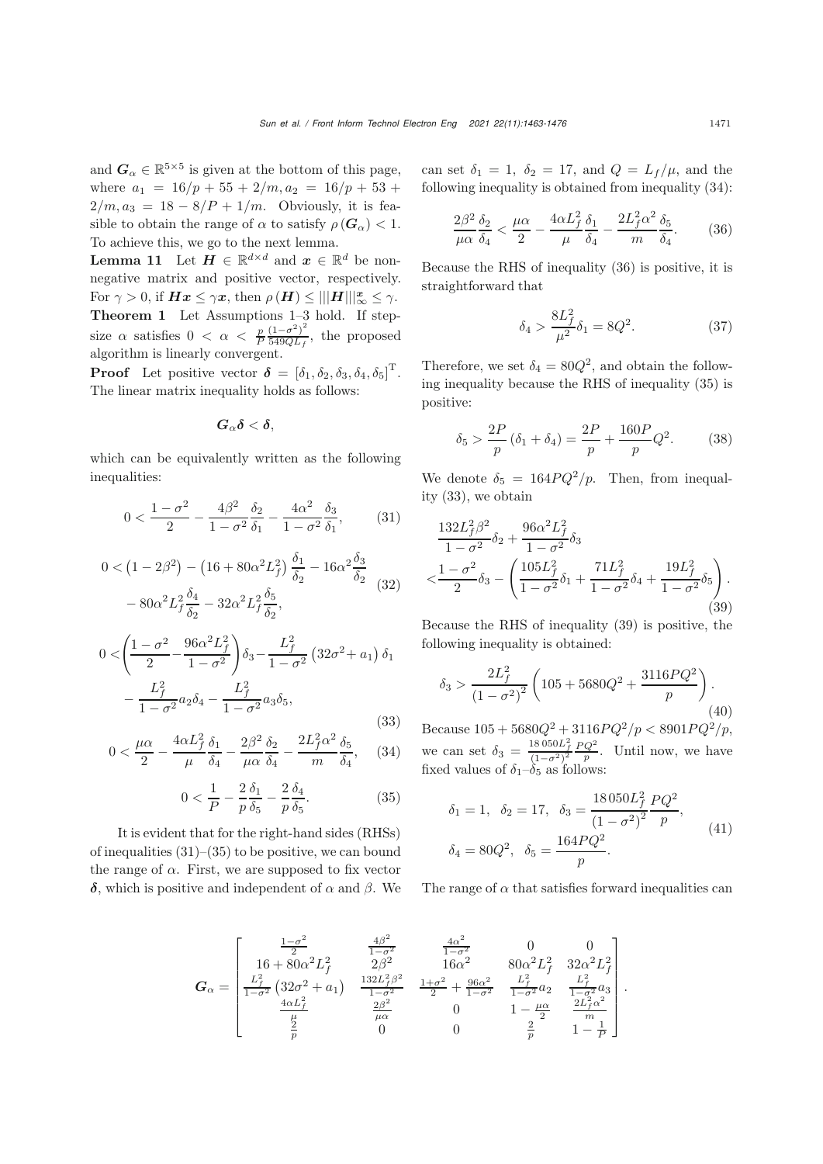<span id="page-8-2"></span> $\frac{6}{2}$ 

and  $G_{\alpha} \in \mathbb{R}^{5 \times 5}$  is given at the bottom of this page, where  $a_1 = 16/p + 55 + 2/m, a_2 = 16/p + 53 +$  $2/m, a_3 = 18 - 8/P + 1/m$ . Obviously, it is feasible to obtain the range of  $\alpha$  to satisfy  $\rho(\mathbf{G}_{\alpha}) < 1$ . To achieve this, we go to the next lemma.

**Lemma 11** Let  $H \in \mathbb{R}^{d \times d}$  and  $x \in \mathbb{R}^d$  be nonnegative matrix and positive vector, respectively. For  $\gamma > 0$ , if  $Hx \leq \gamma x$ , then  $\rho(H) \leq |||H|||_{\infty}^{x} \leq \gamma$ .<br>Theorem 1. Let Assumptions 1.2 hold If step Theorem 1 Let Assumptions [1](#page-2-2)[–3](#page-2-0) hold. If stepsize  $\alpha$  satisfies  $0 < \alpha < \frac{p}{P} \frac{(1-\sigma^2)^2}{549QL_f}$ , the proposed algorithm is linearly convergent.

**Proof** Let positive vector  $\boldsymbol{\delta} = [\delta_1, \delta_2, \delta_3, \delta_4, \delta_5]^{\mathrm{T}}$ .<br>The linear matrix inequality holds as follows: The linear matrix inequality holds as follows:

$$
\boldsymbol{G}_{\alpha}\boldsymbol{\delta}<\boldsymbol{\delta},
$$

which can be equivalently written as the following inequalities:

$$
0 < \frac{1 - \sigma^2}{2} - \frac{4\beta^2}{1 - \sigma^2} \frac{\delta_2}{\delta_1} - \frac{4\alpha^2}{1 - \sigma^2} \frac{\delta_3}{\delta_1},\tag{31}
$$

<span id="page-8-5"></span>
$$
0 < (1 - 2\beta^2) - (16 + 80\alpha^2 L_f^2) \frac{\delta_1}{\delta_2} - 16\alpha^2 \frac{\delta_3}{\delta_2} - 80\alpha^2 L_f^2 \frac{\delta_4}{\delta_2} - 32\alpha^2 L_f^2 \frac{\delta_5}{\delta_2},
$$
\n(32)

<span id="page-8-3"></span>
$$
0 < \left(\frac{1-\sigma^2}{2} - \frac{96\alpha^2 L_f^2}{1-\sigma^2}\right)\delta_3 - \frac{L_f^2}{1-\sigma^2} \left(32\sigma^2 + a_1\right)\delta_1 - \frac{L_f^2}{1-\sigma^2}a_2\delta_4 - \frac{L_f^2}{1-\sigma^2}a_3\delta_5,
$$
\n(33)

<span id="page-8-1"></span>
$$
0 < \frac{\mu\alpha}{2} - \frac{4\alpha L_f^2}{\mu} \frac{\delta_1}{\delta_4} - \frac{2\beta^2}{\mu\alpha} \frac{\delta_2}{\delta_4} - \frac{2L_f^2\alpha^2}{m} \frac{\delta_5}{\delta_4},\tag{34}
$$

<span id="page-8-0"></span>
$$
0 < \frac{1}{P} - \frac{2}{p} \frac{\delta_1}{\delta_5} - \frac{2}{p} \frac{\delta_4}{\delta_5}.\tag{35}
$$

It is evident that for the right-hand sides (RHSs) of inequalities  $(31)$ – $(35)$  to be positive, we can bound the range of  $\alpha$ . First, we are supposed to fix vector *δ*, which is positive and independent of α and β. We can set  $\delta_1 = 1$ ,  $\delta_2 = 17$ , and  $Q = L_f/\mu$ , and the following inequality is obtained from inequality [\(34\)](#page-8-1):

$$
\frac{2\beta^2}{\mu\alpha} \frac{\delta_2}{\delta_4} < \frac{\mu\alpha}{2} - \frac{4\alpha L_f^2}{\mu} \frac{\delta_1}{\delta_4} - \frac{2L_f^2 \alpha^2}{m} \frac{\delta_5}{\delta_4}.\tag{36}
$$

Because the RHS of inequality [\(36\)](#page-8-2) is positive, it is straightforward that

$$
\delta_4 > \frac{8L_f^2}{\mu^2} \delta_1 = 8Q^2.
$$
 (37)

Therefore, we set  $\delta_4 = 80Q^2$ , and obtain the following inequality because the RHS of inequality [\(35\)](#page-8-0) is positive:

$$
\delta_5 > \frac{2P}{p} (\delta_1 + \delta_4) = \frac{2P}{p} + \frac{160P}{p} Q^2.
$$
 (38)

We denote  $\delta_5 = 164PQ^2/p$ . Then, from inequality [\(33\)](#page-8-3), we obtain

<span id="page-8-4"></span>
$$
\frac{132L_f^2{\beta}^2}{1-\sigma^2}\delta_2 + \frac{96\alpha^2 L_f^2}{1-\sigma^2}\delta_3
$$
  

$$
< \frac{1-\sigma^2}{2}\delta_3 - \left(\frac{105L_f^2}{1-\sigma^2}\delta_1 + \frac{71L_f^2}{1-\sigma^2}\delta_4 + \frac{19L_f^2}{1-\sigma^2}\delta_5\right).
$$
(39)

Because the RHS of inequality [\(39\)](#page-8-4) is positive, the following inequality is obtained:

$$
\delta_3 > \frac{2L_f^2}{\left(1 - \sigma^2\right)^2} \left(105 + 5680Q^2 + \frac{3116PQ^2}{p}\right). \tag{40}
$$

Because  $105 + 5680Q^2 + 3116PQ^2/p < 8901PQ^2/p,$ <br> $18950L^2$ ,  $PQ^2$ ,  $\frac{18950L^2}{PQ^2}$ ,  $\frac{1}{2}$ we can set  $\delta_3 = \frac{18050L_f^2}{(1-\sigma^2)^2}$  $\frac{PQ^2}{p}$ . Until now, we have fixed values of  $\delta_1-\delta_5$  as follows:

$$
\delta_1 = 1, \quad \delta_2 = 17, \quad \delta_3 = \frac{18050L_f^2}{(1 - \sigma^2)^2} \frac{PQ^2}{p},
$$
  

$$
\delta_4 = 80Q^2, \quad \delta_5 = \frac{164PQ^2}{p}.
$$
 (41)

The range of  $\alpha$  that satisfies forward inequalities can

$$
\pmb{G}_{\alpha} = \begin{bmatrix} \frac{1-\sigma^2}{2} & \frac{4\beta^2}{1-\sigma^2} & \frac{4\alpha^2}{1-\sigma^2} & 0 & 0\\ 16+80\alpha^2L_f^2 & 2\beta^2 & 16\alpha^2 & 80\alpha^2L_f^2 & 32\alpha^2L_f^2\\ \frac{L_f^2}{1-\sigma^2}\left(32\sigma^2+a_1\right) & \frac{132L_f^2\beta^2}{1-\sigma^2} & \frac{1+\sigma^2}{2}+\frac{96\alpha^2}{1-\sigma^2} & \frac{L_f^2}{1-\sigma^2}a_2 & \frac{L_f^2}{1-\sigma^2}a_3\\ \frac{4\alpha L_f^2}{\frac{\mu}{p}} & \frac{2\beta^2}{\mu\alpha} & 0 & 1-\frac{\mu\alpha}{2} & \frac{2L_f^2\alpha^2}{m}\\ \frac{2}{p} & 0 & 0 & \frac{2}{p} & 1-\frac{1}{p} \end{bmatrix}.
$$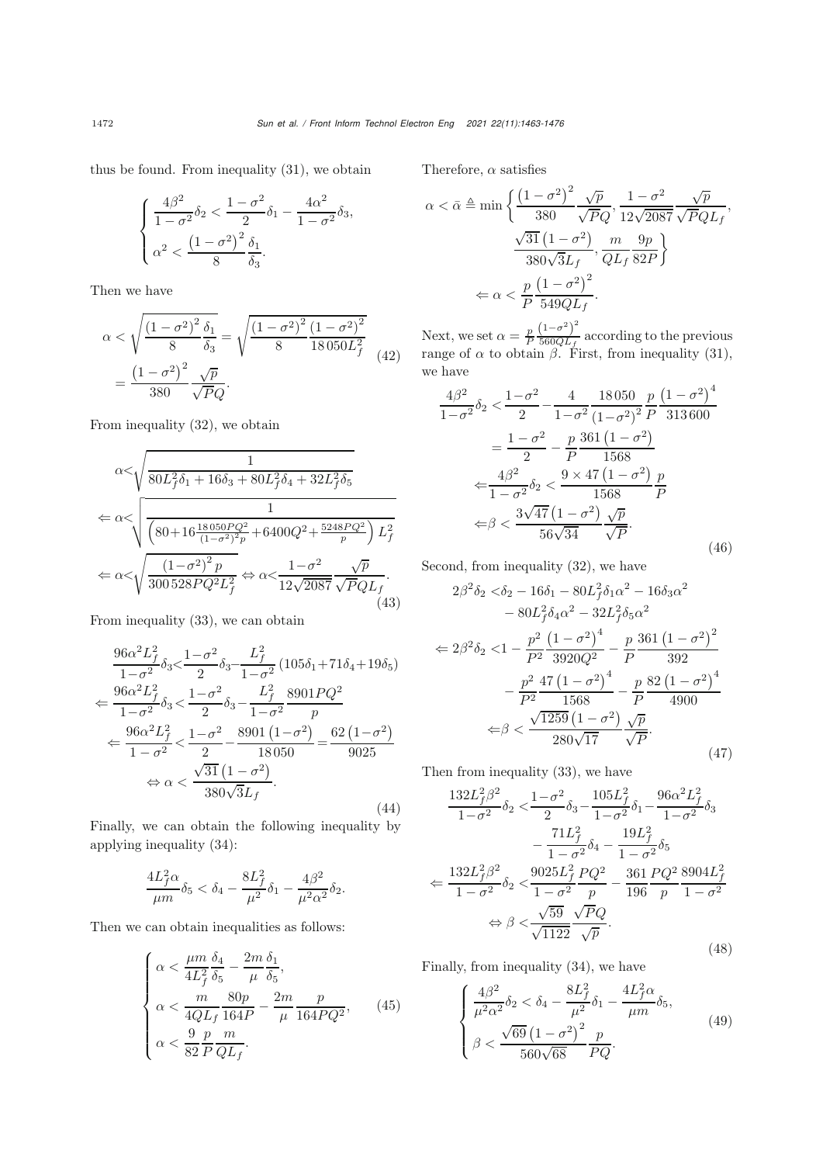thus be found. From inequality [\(31\)](#page-7-3), we obtain

$$
\begin{cases} \frac{4\beta^2}{1-\sigma^2}\delta_2 < \frac{1-\sigma^2}{2}\delta_1 - \frac{4\alpha^2}{1-\sigma^2}\delta_3, \\ \alpha^2 < \frac{(1-\sigma^2)^2}{8}\frac{\delta_1}{\delta_3}. \end{cases}
$$

Then we have

$$
\alpha < \sqrt{\frac{(1 - \sigma^2)^2}{8} \frac{\delta_1}{\delta_3}} = \sqrt{\frac{(1 - \sigma^2)^2}{8} \frac{(1 - \sigma^2)^2}{18050L_f^2}} = \frac{(1 - \sigma^2)^2}{380} \frac{\sqrt{p}}{\sqrt{PQ}}.
$$
\n(42)

From inequality [\(32\)](#page-8-5), we obtain

$$
\alpha < \sqrt{\frac{1}{80L_f^2 \delta_1 + 16\delta_3 + 80L_f^2 \delta_4 + 32L_f^2 \delta_5}}
$$
\n
$$
\Leftarrow \alpha < \sqrt{\frac{1}{\left(80 + 16\frac{18050PQ^2}{(1 - \sigma^2)^2 p} + 6400Q^2 + \frac{5248PQ^2}{p}\right)L_f^2}
$$
\n
$$
\Leftarrow \alpha < \sqrt{\frac{(1 - \sigma^2)^2 p}{300528PQ^2L_f^2}} \Leftrightarrow \alpha < \frac{1 - \sigma^2}{12\sqrt{2087}} \frac{\sqrt{p}}{\sqrt{PQL_f}}.
$$
\n(43)

From inequality [\(33\)](#page-8-3), we can obtain

$$
\frac{96\alpha^2 L_f^2}{1-\sigma^2} \delta_3 < \frac{1-\sigma^2}{2} \delta_3 - \frac{L_f^2}{1-\sigma^2} (105\delta_1 + 71\delta_4 + 19\delta_5)
$$
  

$$
\Leftarrow \frac{96\alpha^2 L_f^2}{1-\sigma^2} \delta_3 < \frac{1-\sigma^2}{2} \delta_3 - \frac{L_f^2}{1-\sigma^2} \frac{8901PQ^2}{p}
$$
  

$$
\Leftarrow \frac{96\alpha^2 L_f^2}{1-\sigma^2} < \frac{1-\sigma^2}{2} - \frac{8901(1-\sigma^2)}{18050} = \frac{62(1-\sigma^2)}{9025}
$$
  

$$
\Leftrightarrow \alpha < \frac{\sqrt{31}(1-\sigma^2)}{380\sqrt{3}L_f}.
$$
(44)

Finally, we can obtain the following inequality by applying inequality [\(34\)](#page-8-1):

$$
\frac{4L_f^2\alpha}{\mu m}\delta_5<\delta_4-\frac{8L_f^2}{\mu^2}\delta_1-\frac{4\beta^2}{\mu^2\alpha^2}\delta_2.
$$

Then we can obtain inequalities as follows:

$$
\begin{cases}\n\alpha < \frac{\mu m}{4L_f^2} \frac{\delta_4}{\delta_5} - \frac{2m}{\mu} \frac{\delta_1}{\delta_5}, \\
\alpha < \frac{m}{4QL_f} \frac{80p}{164P} - \frac{2m}{\mu} \frac{p}{164PQ^2}, \\
\alpha < \frac{9}{82} \frac{p}{P} \frac{m}{QL_f}.\n\end{cases} \tag{45}
$$

Therefore,  $\alpha$  satisfies

<span id="page-9-0"></span>
$$
\alpha < \bar{\alpha} \triangleq \min\left\{ \frac{\left(1 - \sigma^2\right)^2}{380} \frac{\sqrt{p}}{\sqrt{PQ}}, \frac{1 - \sigma^2}{12\sqrt{2087}} \frac{\sqrt{p}}{\sqrt{PQL_f}}, \frac{\sqrt{31}\left(1 - \sigma^2\right)}{380\sqrt{3}L_f}, \frac{m}{QL_f} \frac{9p}{82P} \right\}
$$
\n
$$
\leq \alpha < \frac{p}{P} \frac{\left(1 - \sigma^2\right)^2}{549QL_f}.
$$

Next, we set  $\alpha = \frac{p}{P} \frac{(1-\sigma^2)^2}{560QL_f}$  according to the previous range of  $\alpha$  to obtain  $\beta$ . First, from inequality [\(31\)](#page-7-3), we have

$$
\frac{4\beta^2}{1-\sigma^2}\delta_2 < \frac{1-\sigma^2}{2} - \frac{4}{1-\sigma^2}\frac{18050}{(1-\sigma^2)^2} \frac{p}{P} \frac{(1-\sigma^2)^4}{313600}
$$

$$
= \frac{1-\sigma^2}{2} - \frac{p}{P} \frac{361(1-\sigma^2)}{1568}
$$

$$
\Leftarrow \frac{4\beta^2}{1-\sigma^2}\delta_2 < \frac{9 \times 47(1-\sigma^2)}{1568} \frac{p}{P}
$$

$$
\Leftarrow \beta < \frac{3\sqrt{47}(1-\sigma^2)}{56\sqrt{34}} \frac{\sqrt{p}}{\sqrt{P}}.
$$
(46)

Second, from inequality [\(32\)](#page-8-5), we have

$$
2\beta^2 \delta_2 < \delta_2 - 16\delta_1 - 80L_f^2 \delta_1 \alpha^2 - 16\delta_3 \alpha^2
$$
  
\n
$$
- 80L_f^2 \delta_4 \alpha^2 - 32L_f^2 \delta_5 \alpha^2
$$
  
\n
$$
\Leftarrow 2\beta^2 \delta_2 < 1 - \frac{p^2}{P^2} \frac{\left(1 - \sigma^2\right)^4}{3920Q^2} - \frac{p}{P} \frac{361\left(1 - \sigma^2\right)^2}{392}
$$
  
\n
$$
- \frac{p^2}{P^2} \frac{47\left(1 - \sigma^2\right)^4}{1568} - \frac{p}{P} \frac{82\left(1 - \sigma^2\right)^4}{4900}
$$
  
\n
$$
\Leftarrow \beta < \frac{\sqrt{1259}\left(1 - \sigma^2\right)}{280\sqrt{17}} \frac{\sqrt{p}}{\sqrt{P}}.
$$
\n(47)

Then from inequality [\(33\)](#page-8-3), we have

$$
\frac{132L_f^2\beta^2}{1-\sigma^2}\delta_2 \le \frac{1-\sigma^2}{2}\delta_3 - \frac{105L_f^2}{1-\sigma^2}\delta_1 - \frac{96\alpha^2L_f^2}{1-\sigma^2}\delta_3 \n- \frac{71L_f^2}{1-\sigma^2}\delta_4 - \frac{19L_f^2}{1-\sigma^2}\delta_5 \n\Leftarrow \frac{132L_f^2\beta^2}{1-\sigma^2}\delta_2 \le \frac{9025L_f^2}{1-\sigma^2}\frac{PQ^2}{p} - \frac{361}{196}\frac{PQ^2}{p}\frac{8904L_f^2}{1-\sigma^2} \n\Leftrightarrow \beta \le \frac{\sqrt{59}}{\sqrt{1122}}\frac{\sqrt{P}Q}{\sqrt{p}}.
$$
\n(48)

Finally, from inequality [\(34\)](#page-8-1), we have

<span id="page-9-1"></span>
$$
\begin{cases} \frac{4\beta^2}{\mu^2 \alpha^2} \delta_2 < \delta_4 - \frac{8L_f^2}{\mu^2} \delta_1 - \frac{4L_f^2 \alpha}{\mu m} \delta_5, \\ \beta < \frac{\sqrt{69} \left(1 - \sigma^2\right)^2}{560\sqrt{68}} \frac{p}{PQ}. \end{cases} \tag{49}
$$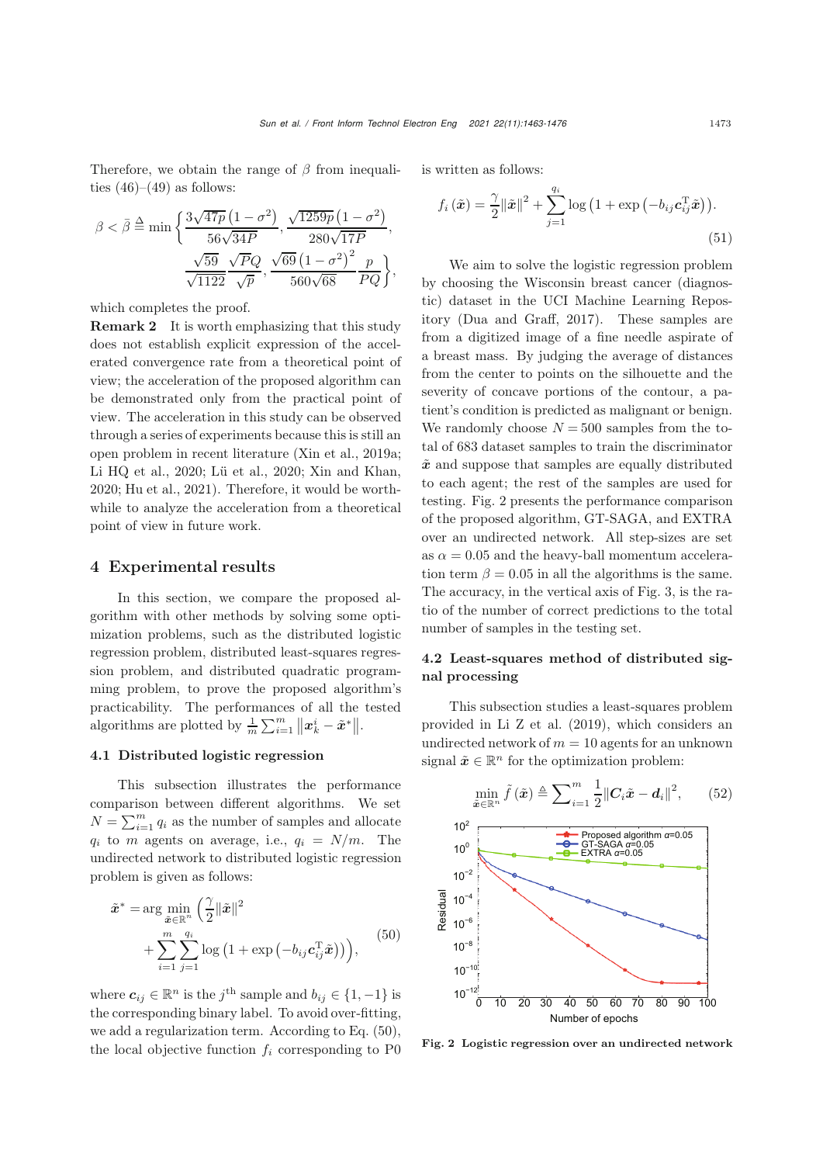Therefore, we obtain the range of  $\beta$  from inequalities  $(46)–(49)$  $(46)–(49)$  $(46)–(49)$  as follows:

$$
\beta < \bar{\beta} \stackrel{\Delta}{=} \min \left\{ \frac{3\sqrt{47p} \left(1 - \sigma^2\right)}{56\sqrt{34P}}, \frac{\sqrt{1259p} \left(1 - \sigma^2\right)}{280\sqrt{17P}}, \frac{\sqrt{59}}{\sqrt{1122}} \frac{\sqrt{PQ}}{\sqrt{p}}, \frac{\sqrt{69} \left(1 - \sigma^2\right)^2}{560\sqrt{68}} \frac{p}{PQ} \right\},\right\}
$$

which completes the proof.

Remark 2 It is worth emphasizing that this study does not establish explicit expression of the accelerated convergence rate from a theoretical point of view; the acceleration of the proposed algorithm can be demonstrated only from the practical point of view. The acceleration in this study can be observed through a series of experiments because this is still an open problem in recent literature [\(Xin et al., 2019a;](#page-13-18) [Li HQ et al., 2020](#page-12-16); [Lü et al.](#page-12-17), [2020;](#page-12-17) [Xin and Khan,](#page-13-14) [2020](#page-13-14); [Hu et al., 2021](#page-12-18)). Therefore, it would be worthwhile to analyze the acceleration from a theoretical point of view in future work.

## 4 Experimental results

In this section, we compare the proposed algorithm with other methods by solving some optimization problems, such as the distributed logistic regression problem, distributed least-squares regression problem, and distributed quadratic programming problem, to prove the proposed algorithm's practicability. The performances of all the tested algorithms are plotted by  $\frac{1}{m} \sum_{i=1}^{m} ||x_k^i - \tilde{x}^*||$ .

#### 4.1 Distributed logistic regression

This subsection illustrates the performance comparison between different algorithms. We set  $N = \sum_{i=1}^{m} q_i$  as the number of samples and allocate  $q_i$  to m agents on average, i.e.,  $q_i = N/m$ . The undirected network to distributed logistic regression problem is given as follows:

<span id="page-10-0"></span>
$$
\tilde{\boldsymbol{x}}^* = \arg\min_{\tilde{\boldsymbol{x}} \in \mathbb{R}^n} \left( \frac{\gamma}{2} ||\tilde{\boldsymbol{x}}||^2 + \sum_{i=1}^m \sum_{j=1}^{q_i} \log\left(1 + \exp\left(-b_{ij} \boldsymbol{c}_{ij}^{\mathrm{T}} \tilde{\boldsymbol{x}}\right)\right) \right), \tag{50}
$$

where  $c_{ij} \in \mathbb{R}^n$  is the j<sup>th</sup> sample and  $b_{ij} \in \{1, -1\}$  is the corresponding binary label. To avoid over-fitting, we add a regularization term. According to Eq. [\(50\)](#page-10-0), the local objective function  $f_i$  corresponding to P0 is written as follows:

$$
f_i(\tilde{\boldsymbol{x}}) = \frac{\gamma}{2} {\|\tilde{\boldsymbol{x}}\|}^2 + \sum_{j=1}^{q_i} \log \left(1 + \exp \left(-b_{ij} \boldsymbol{c}_{ij}^{\mathrm{T}} \tilde{\boldsymbol{x}}\right)\right).
$$
\n(51)

We aim to solve the logistic regression problem by choosing the Wisconsin breast cancer (diagnostic) dataset in the UCI Machine Learning Repository [\(Dua and Graff](#page-12-19), [2017](#page-12-19)). These samples are from a digitized image of a fine needle aspirate of a breast mass. By judging the average of distances from the center to points on the silhouette and the severity of concave portions of the contour, a patient's condition is predicted as malignant or benign. We randomly choose  $N = 500$  samples from the total of 683 dataset samples to train the discriminator  $\tilde{x}$  and suppose that samples are equally distributed to each agent; the rest of the samples are used for testing. Fig. [2](#page-10-1) presents the performance comparison of the proposed algorithm, GT-SAGA, and EXTRA over an undirected network. All step-sizes are set as  $\alpha = 0.05$  and the heavy-ball momentum acceleration term  $\beta = 0.05$  in all the algorithms is the same. The accuracy, in the vertical axis of Fig. [3,](#page-11-0) is the ratio of the number of correct predictions to the total number of samples in the testing set.

# 4.2 Least-squares method of distributed signal processing

This subsection studies a least-squares problem provided in [Li Z et al.](#page-12-20) [\(2019](#page-12-20)), which considers an undirected network of  $m = 10$  agents for an unknown signal  $\tilde{x} \in \mathbb{R}^n$  for the optimization problem:

<span id="page-10-2"></span>
$$
\min_{\tilde{\boldsymbol{x}} \in \mathbb{R}^n} \tilde{f}(\tilde{\boldsymbol{x}}) \triangleq \sum_{i=1}^m \frac{1}{2} ||C_i \tilde{\boldsymbol{x}} - \boldsymbol{d}_i||^2, \qquad (52)
$$



<span id="page-10-1"></span>Fig. 2 Logistic regression over an undirected network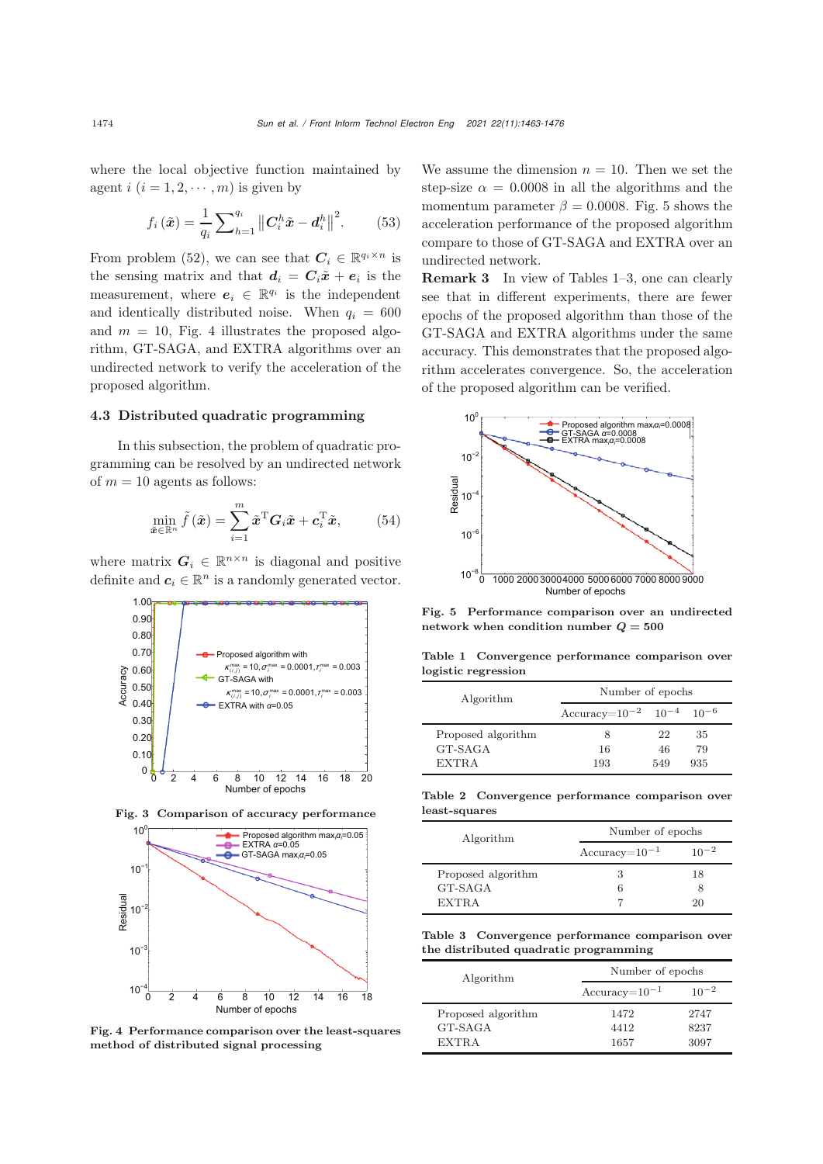where the local objective function maintained by agent  $i$   $(i = 1, 2, \dots, m)$  is given by

$$
f_i\left(\tilde{\boldsymbol{x}}\right) = \frac{1}{q_i} \sum\nolimits_{h=1}^{q_i} \left\| \boldsymbol{C}_i^h \tilde{\boldsymbol{x}} - \boldsymbol{d}_i^h \right\|^2. \tag{53}
$$

From problem [\(52\)](#page-10-2), we can see that  $C_i \in \mathbb{R}^{q_i \times n}$  is the sensing matrix and that  $d_i = C_i \tilde{x} + e_i$  is the measurement, where  $e_i \in \mathbb{R}^{q_i}$  is the independent and identically distributed noise. When  $q_i = 600$ and  $m = 10$ , Fig. [4](#page-11-1) illustrates the proposed algorithm, GT-SAGA, and EXTRA algorithms over an undirected network to verify the acceleration of the proposed algorithm.

## 4.3 Distributed quadratic programming

In this subsection, the problem of quadratic programming can be resolved by an undirected network of  $m = 10$  agents as follows:

$$
\min_{\tilde{\boldsymbol{x}} \in \mathbb{R}^n} \tilde{f}(\tilde{\boldsymbol{x}}) = \sum_{i=1}^m \tilde{\boldsymbol{x}}^{\mathrm{T}} \boldsymbol{G}_i \tilde{\boldsymbol{x}} + \boldsymbol{c}_i^{\mathrm{T}} \tilde{\boldsymbol{x}}, \qquad (54)
$$

where matrix  $G_i \in \mathbb{R}^{n \times n}$  is diagonal and positive definite and  $c_i \in \mathbb{R}^n$  is a randomly generated vector.



Fig. 3 Comparison of accuracy performance

<span id="page-11-0"></span>

<span id="page-11-1"></span>Fig. 4 Performance comparison over the least-squares method of distributed signal processing

We assume the dimension  $n = 10$ . Then we set the step-size  $\alpha = 0.0008$  in all the algorithms and the momentum parameter  $\beta = 0.0008$ . Fig. [5](#page-11-2) shows the acceleration performance of the proposed algorithm compare to those of GT-SAGA and EXTRA over an undirected network.

Remark 3 In view of Tables [1](#page-11-3)[–3,](#page-11-4) one can clearly see that in different experiments, there are fewer epochs of the proposed algorithm than those of the GT-SAGA and EXTRA algorithms under the same accuracy. This demonstrates that the proposed algorithm accelerates convergence. So, the acceleration of the proposed algorithm can be verified.



<span id="page-11-2"></span>Fig. 5 Performance comparison over an undirected network when condition number *Q* **= 500**

<span id="page-11-3"></span>Table 1 Convergence performance comparison over logistic regression

| Algorithm          | Number of epochs                        |     |     |
|--------------------|-----------------------------------------|-----|-----|
|                    | Accuracy= $10^{-2}$ $10^{-4}$ $10^{-6}$ |     |     |
| Proposed algorithm |                                         | 22  | 35  |
| GT-SAGA            | 16                                      | 46  | 79  |
| EXTRA              | 193                                     | 549 | 935 |

Table 2 Convergence performance comparison over least-squares

| Algorithm          | Number of epochs   |           |  |
|--------------------|--------------------|-----------|--|
|                    | $Accuracy=10^{-1}$ | $10^{-2}$ |  |
| Proposed algorithm | З                  | 18        |  |
| GT-SAGA            |                    |           |  |
| <b>EXTRA</b>       |                    | 20        |  |

<span id="page-11-4"></span>Table 3 Convergence performance comparison over the distributed quadratic programming

| Algorithm          | Number of epochs   |           |  |
|--------------------|--------------------|-----------|--|
|                    | $Accuracy=10^{-1}$ | $10^{-2}$ |  |
| Proposed algorithm | 1472               | 2747      |  |
| GT-SAGA            | 4412               | 8237      |  |
| <b>EXTRA</b>       | 1657               | 3097      |  |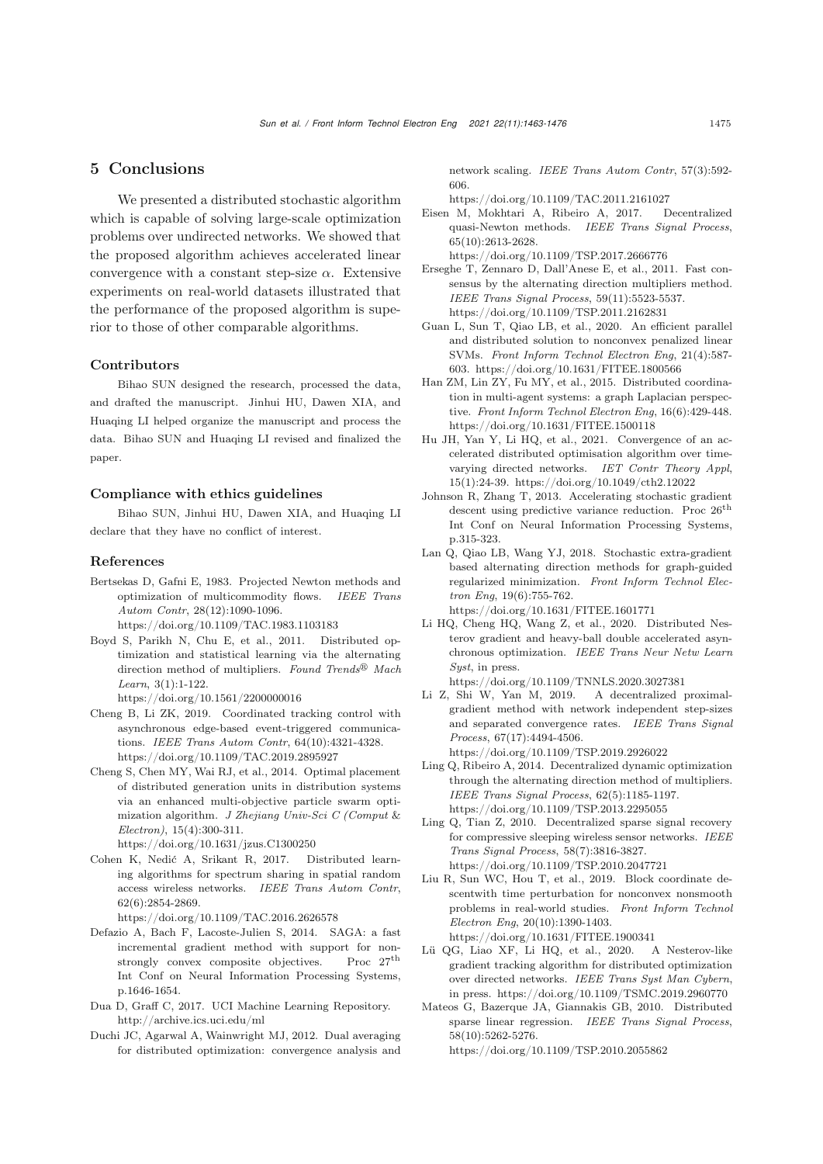# 5 Conclusions

We presented a distributed stochastic algorithm which is capable of solving large-scale optimization problems over undirected networks. We showed that the proposed algorithm achieves accelerated linear convergence with a constant step-size  $\alpha$ . Extensive experiments on real-world datasets illustrated that the performance of the proposed algorithm is superior to those of other comparable algorithms.

#### Contributors

Bihao SUN designed the research, processed the data, and drafted the manuscript. Jinhui HU, Dawen XIA, and Huaqing LI helped organize the manuscript and process the data. Bihao SUN and Huaqing LI revised and finalized the paper.

## Compliance with ethics guidelines

Bihao SUN, Jinhui HU, Dawen XIA, and Huaqing LI declare that they have no conflict of interest.

#### References

- <span id="page-12-10"></span>Bertsekas D, Gafni E, 1983. Projected Newton methods and optimization of multicommodity flows. *IEEE Trans Autom Contr*, 28(12):1090-1096. https://doi.org/10.1109/TAC.1983.1103183
- <span id="page-12-4"></span>Boyd S, Parikh N, Chu E, et al., 2011. Distributed optimization and statistical learning via the alternating direction method of multipliers. *Found Trends*- *Mach Learn*, 3(1):1-122.

https://doi.org/10.1561/2200000016

- <span id="page-12-3"></span>Cheng B, Li ZK, 2019. Coordinated tracking control with asynchronous edge-based event-triggered communications. *IEEE Trans Autom Contr*, 64(10):4321-4328. https://doi.org/10.1109/TAC.2019.2895927
- <span id="page-12-7"></span>Cheng S, Chen MY, Wai RJ, et al., 2014. Optimal placement of distributed generation units in distribution systems via an enhanced multi-objective particle swarm optimization algorithm. *J Zhejiang Univ-Sci C (Comput* & *Electron)*, 15(4):300-311. https://doi.org/10.1631/jzus.C1300250
- <span id="page-12-0"></span>Cohen K, Nedić A, Srikant R, 2017. Distributed learning algorithms for spectrum sharing in spatial random access wireless networks. *IEEE Trans Autom Contr*,

62(6):2854-2869. https://doi.org/10.1109/TAC.2016.2626578

- <span id="page-12-13"></span>Defazio A, Bach F, Lacoste-Julien S, 2014. SAGA: a fast incremental gradient method with support for nonstrongly convex composite objectives. Proc 27<sup>th</sup> Int Conf on Neural Information Processing Systems, p.1646-1654.
- <span id="page-12-19"></span>Dua D, Graff C, 2017. UCI Machine Learning Repository. http://archive.ics.uci.edu/ml
- <span id="page-12-12"></span>Duchi JC, Agarwal A, Wainwright MJ, 2012. Dual averaging for distributed optimization: convergence analysis and

network scaling. *IEEE Trans Autom Contr*, 57(3):592- 606.

https://doi.org/10.1109/TAC.2011.2161027

<span id="page-12-11"></span>Eisen M, Mokhtari A, Ribeiro A, 2017. Decentralized quasi-Newton methods. *IEEE Trans Signal Process*, 65(10):2613-2628.

https://doi.org/10.1109/TSP.2017.2666776

- <span id="page-12-6"></span>Erseghe T, Zennaro D, Dall'Anese E, et al., 2011. Fast consensus by the alternating direction multipliers method. *IEEE Trans Signal Process*, 59(11):5523-5537. https://doi.org/10.1109/TSP.2011.2162831
- <span id="page-12-9"></span>Guan L, Sun T, Qiao LB, et al., 2020. An efficient parallel and distributed solution to nonconvex penalized linear SVMs. *Front Inform Technol Electron Eng*, 21(4):587- 603. https://doi.org/10.1631/FITEE.1800566
- <span id="page-12-2"></span>Han ZM, Lin ZY, Fu MY, et al., 2015. Distributed coordination in multi-agent systems: a graph Laplacian perspective. *Front Inform Technol Electron Eng*, 16(6):429-448. https://doi.org/10.1631/FITEE.1500118
- <span id="page-12-18"></span>Hu JH, Yan Y, Li HQ, et al., 2021. Convergence of an accelerated distributed optimisation algorithm over timevarying directed networks. *IET Contr Theory Appl*, 15(1):24-39. https://doi.org/10.1049/cth2.12022
- <span id="page-12-14"></span>Johnson R, Zhang T, 2013. Accelerating stochastic gradient descent using predictive variance reduction. Proc $26^{\rm th}$ Int Conf on Neural Information Processing Systems, p.315-323.
- <span id="page-12-15"></span>Lan Q, Qiao LB, Wang YJ, 2018. Stochastic extra-gradient based alternating direction methods for graph-guided regularized minimization. *Front Inform Technol Electron Eng*, 19(6):755-762. https://doi.org/10.1631/FITEE.1601771
- <span id="page-12-16"></span>Li HQ, Cheng HQ, Wang Z, et al., 2020. Distributed Nesterov gradient and heavy-ball double accelerated asynchronous optimization. *IEEE Trans Neur Netw Learn Syst*, in press.
- <span id="page-12-20"></span>https://doi.org/10.1109/TNNLS.2020.3027381 Li Z, Shi W, Yan M, 2019. A decentralized proximalgradient method with network independent step-sizes and separated convergence rates. *IEEE Trans Signal Process*, 67(17):4494-4506. https://doi.org/10.1109/TSP.2019.2926022
- <span id="page-12-8"></span>Ling Q, Ribeiro A, 2014. Decentralized dynamic optimization through the alternating direction method of multipliers. *IEEE Trans Signal Process*, 62(5):1185-1197. https://doi.org/10.1109/TSP.2013.2295055
- <span id="page-12-5"></span>Ling Q, Tian Z, 2010. Decentralized sparse signal recovery for compressive sleeping wireless sensor networks. *IEEE Trans Signal Process*, 58(7):3816-3827. https://doi.org/10.1109/TSP.2010.2047721
- <span id="page-12-1"></span>Liu R, Sun WC, Hou T, et al., 2019. Block coordinate descentwith time perturbation for nonconvex nonsmooth problems in real-world studies. *Front Inform Technol Electron Eng*, 20(10):1390-1403. https://doi.org/10.1631/FITEE.1900341
- <span id="page-12-17"></span>Lü QG, Liao XF, Li HQ, et al., 2020. A Nesterov-like gradient tracking algorithm for distributed optimization over directed networks. *IEEE Trans Syst Man Cybern*, in press. https://doi.org/10.1109/TSMC.2019.2960770
- Mateos G, Bazerque JA, Giannakis GB, 2010. Distributed sparse linear regression. *IEEE Trans Signal Process*, 58(10):5262-5276.

https://doi.org/10.1109/TSP.2010.2055862